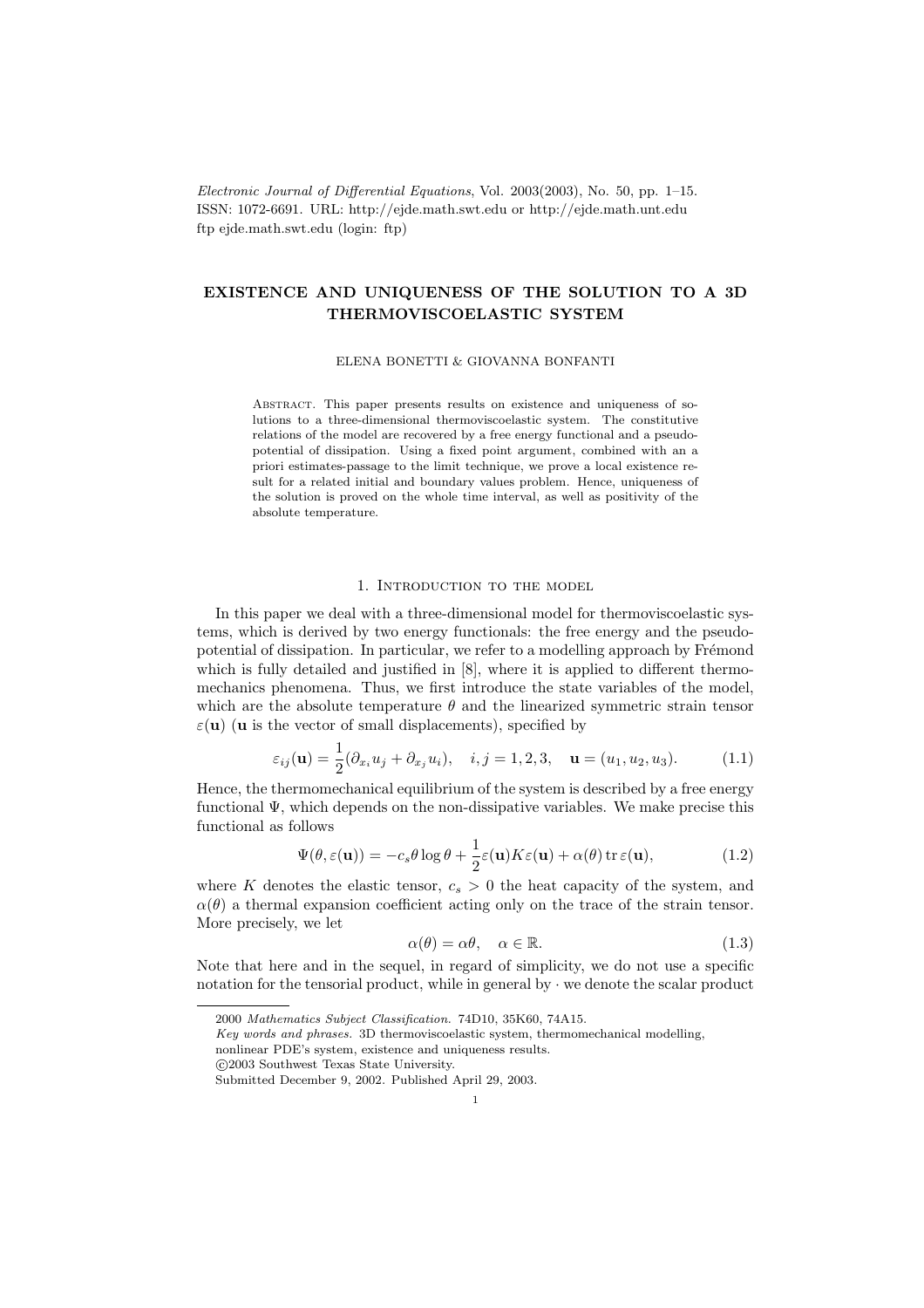Electronic Journal of Differential Equations, Vol. 2003(2003), No. 50, pp. 1–15. ISSN: 1072-6691. URL: http://ejde.math.swt.edu or http://ejde.math.unt.edu ftp ejde.math.swt.edu (login: ftp)

# EXISTENCE AND UNIQUENESS OF THE SOLUTION TO A 3D THERMOVISCOELASTIC SYSTEM

ELENA BONETTI & GIOVANNA BONFANTI

Abstract. This paper presents results on existence and uniqueness of solutions to a three-dimensional thermoviscoelastic system. The constitutive relations of the model are recovered by a free energy functional and a pseudopotential of dissipation. Using a fixed point argument, combined with an a priori estimates-passage to the limit technique, we prove a local existence result for a related initial and boundary values problem. Hence, uniqueness of the solution is proved on the whole time interval, as well as positivity of the absolute temperature.

## 1. Introduction to the model

In this paper we deal with a three-dimensional model for thermoviscoelastic systems, which is derived by two energy functionals: the free energy and the pseudopotential of dissipation. In particular, we refer to a modelling approach by Frémond which is fully detailed and justified in [8], where it is applied to different thermomechanics phenomena. Thus, we first introduce the state variables of the model, which are the absolute temperature  $\theta$  and the linearized symmetric strain tensor  $\varepsilon(\mathbf{u})$  (**u** is the vector of small displacements), specified by

$$
\varepsilon_{ij}(\mathbf{u}) = \frac{1}{2}(\partial_{x_i} u_j + \partial_{x_j} u_i), \quad i, j = 1, 2, 3, \quad \mathbf{u} = (u_1, u_2, u_3). \tag{1.1}
$$

Hence, the thermomechanical equilibrium of the system is described by a free energy functional Ψ, which depends on the non-dissipative variables. We make precise this functional as follows

$$
\Psi(\theta, \varepsilon(\mathbf{u})) = -c_s \theta \log \theta + \frac{1}{2} \varepsilon(\mathbf{u}) K \varepsilon(\mathbf{u}) + \alpha(\theta) \operatorname{tr} \varepsilon(\mathbf{u}), \tag{1.2}
$$

where K denotes the elastic tensor,  $c_s > 0$  the heat capacity of the system, and  $\alpha(\theta)$  a thermal expansion coefficient acting only on the trace of the strain tensor. More precisely, we let

$$
\alpha(\theta) = \alpha \theta, \quad \alpha \in \mathbb{R}.\tag{1.3}
$$

Note that here and in the sequel, in regard of simplicity, we do not use a specific notation for the tensorial product, while in general by  $\cdot$  we denote the scalar product

<sup>2000</sup> Mathematics Subject Classification. 74D10, 35K60, 74A15.

Key words and phrases. 3D thermoviscoelastic system, thermomechanical modelling,

nonlinear PDE's system, existence and uniqueness results.

c 2003 Southwest Texas State University.

Submitted December 9, 2002. Published April 29, 2003.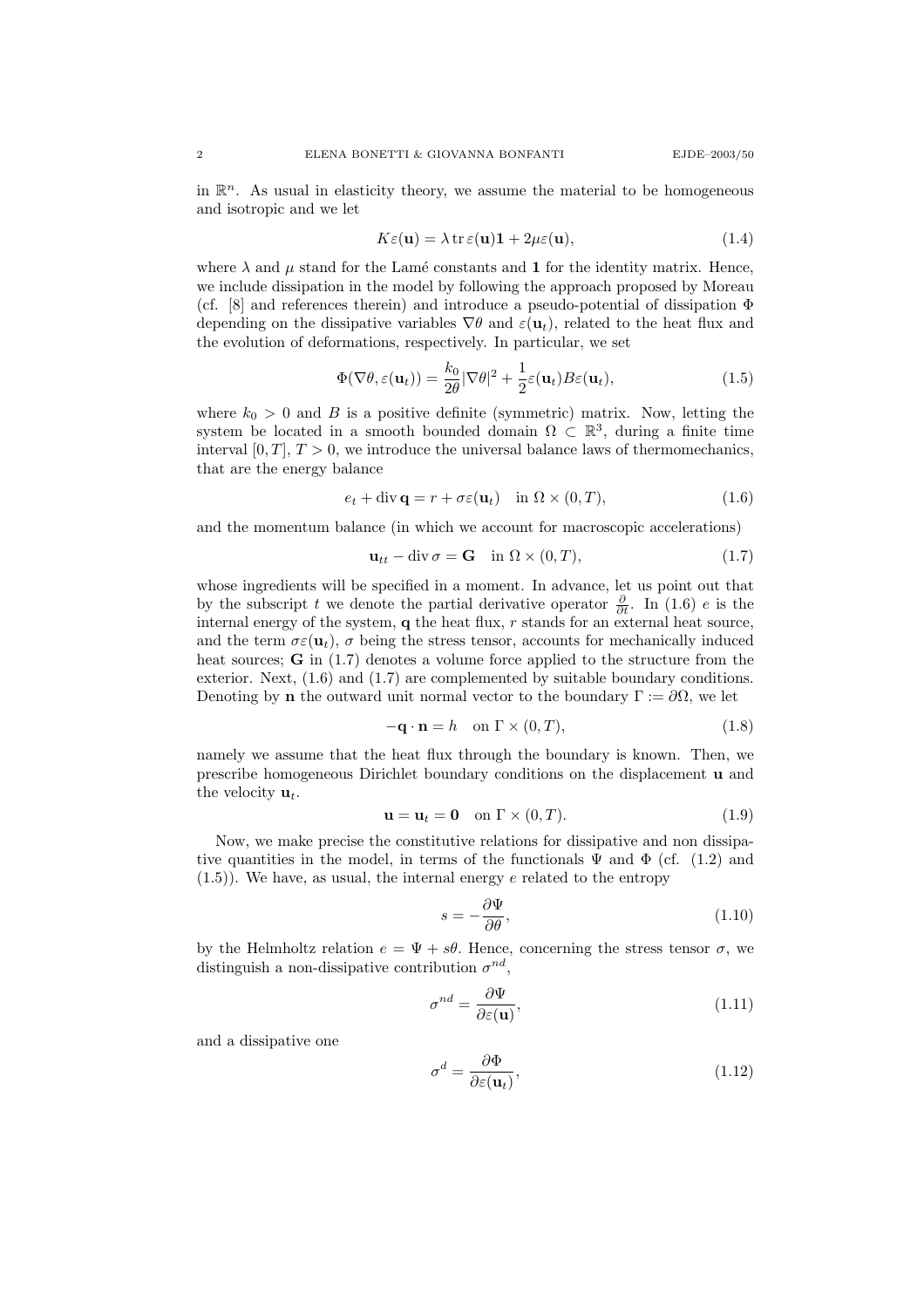in  $\mathbb{R}^n$ . As usual in elasticity theory, we assume the material to be homogeneous and isotropic and we let

$$
K\varepsilon(\mathbf{u}) = \lambda \operatorname{tr}\varepsilon(\mathbf{u})\mathbf{1} + 2\mu\varepsilon(\mathbf{u}),\tag{1.4}
$$

where  $\lambda$  and  $\mu$  stand for the Lamé constants and 1 for the identity matrix. Hence, we include dissipation in the model by following the approach proposed by Moreau (cf. [8] and references therein) and introduce a pseudo-potential of dissipation  $\Phi$ depending on the dissipative variables  $\nabla \theta$  and  $\varepsilon(\mathbf{u}_t)$ , related to the heat flux and the evolution of deformations, respectively. In particular, we set

$$
\Phi(\nabla \theta, \varepsilon(\mathbf{u}_t)) = \frac{k_0}{2\theta} |\nabla \theta|^2 + \frac{1}{2} \varepsilon(\mathbf{u}_t) B \varepsilon(\mathbf{u}_t), \tag{1.5}
$$

where  $k_0 > 0$  and B is a positive definite (symmetric) matrix. Now, letting the system be located in a smooth bounded domain  $\Omega \subset \mathbb{R}^3$ , during a finite time interval  $[0, T]$ ,  $T > 0$ , we introduce the universal balance laws of thermomechanics, that are the energy balance

$$
e_t + \operatorname{div} \mathbf{q} = r + \sigma \varepsilon(\mathbf{u}_t) \quad \text{in } \Omega \times (0, T), \tag{1.6}
$$

and the momentum balance (in which we account for macroscopic accelerations)

$$
\mathbf{u}_{tt} - \operatorname{div} \sigma = \mathbf{G} \quad \text{in } \Omega \times (0, T), \tag{1.7}
$$

whose ingredients will be specified in a moment. In advance, let us point out that by the subscript t we denote the partial derivative operator  $\frac{\partial}{\partial t}$ . In (1.6) e is the internal energy of the system,  $q$  the heat flux,  $r$  stands for an external heat source, and the term  $\sigma \varepsilon(\mathbf{u}_t)$ ,  $\sigma$  being the stress tensor, accounts for mechanically induced heat sources;  $\bf{G}$  in (1.7) denotes a volume force applied to the structure from the exterior. Next, (1.6) and (1.7) are complemented by suitable boundary conditions. Denoting by **n** the outward unit normal vector to the boundary  $\Gamma := \partial \Omega$ , we let

$$
-\mathbf{q} \cdot \mathbf{n} = h \quad \text{on } \Gamma \times (0, T), \tag{1.8}
$$

namely we assume that the heat flux through the boundary is known. Then, we prescribe homogeneous Dirichlet boundary conditions on the displacement u and the velocity  $\mathbf{u}_t$ .

$$
\mathbf{u} = \mathbf{u}_t = \mathbf{0} \quad \text{on } \Gamma \times (0, T). \tag{1.9}
$$

Now, we make precise the constitutive relations for dissipative and non dissipative quantities in the model, in terms of the functionals  $\Psi$  and  $\Phi$  (cf. (1.2) and  $(1.5)$ ). We have, as usual, the internal energy e related to the entropy

$$
s = -\frac{\partial \Psi}{\partial \theta},\tag{1.10}
$$

by the Helmholtz relation  $e = \Psi + s\theta$ . Hence, concerning the stress tensor  $\sigma$ , we distinguish a non-dissipative contribution  $\sigma^{nd}$ ,

$$
\sigma^{nd} = \frac{\partial \Psi}{\partial \varepsilon(\mathbf{u})},\tag{1.11}
$$

and a dissipative one

$$
\sigma^d = \frac{\partial \Phi}{\partial \varepsilon(\mathbf{u}_t)},\tag{1.12}
$$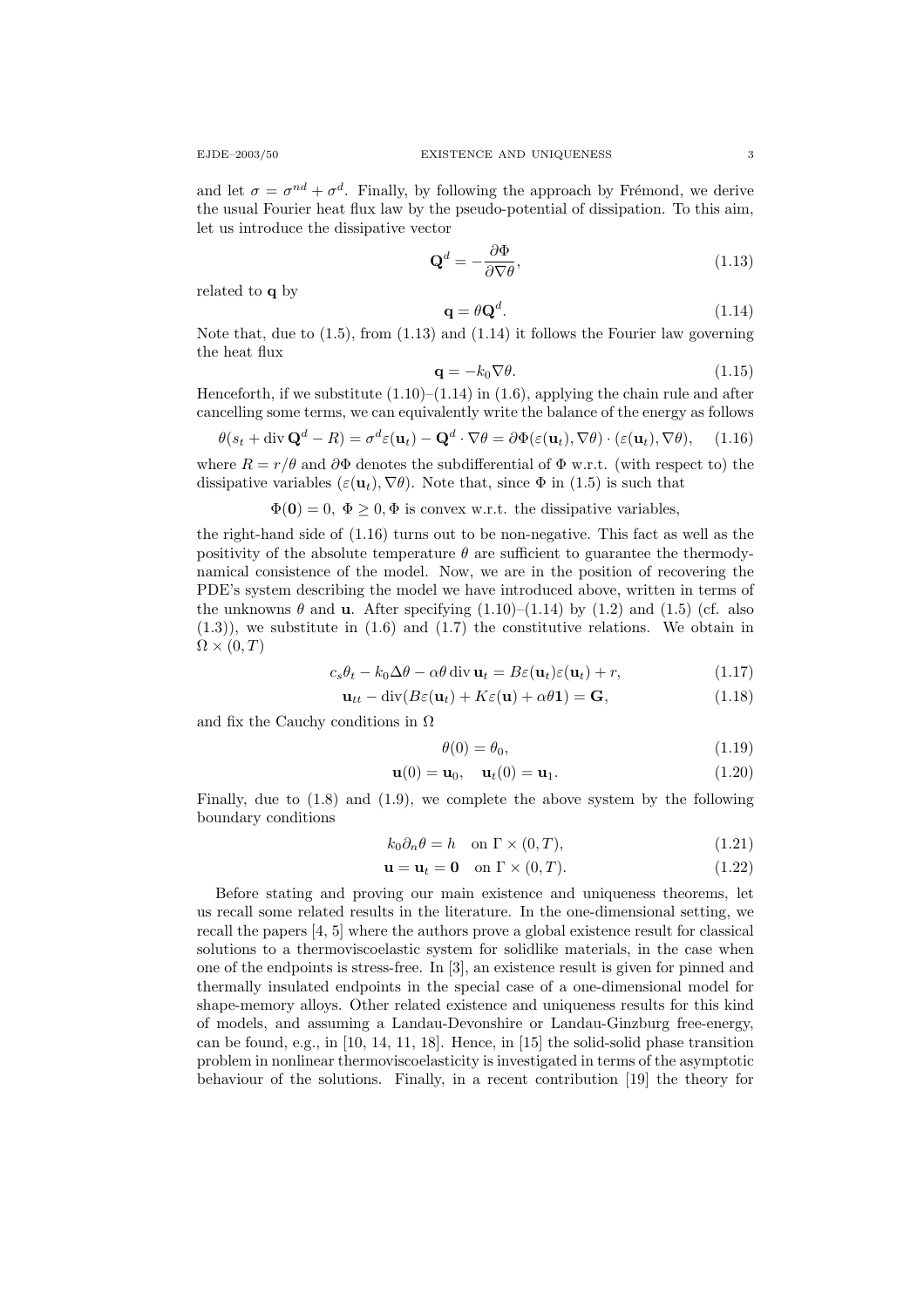and let  $\sigma = \sigma^{nd} + \sigma^d$ . Finally, by following the approach by Frémond, we derive the usual Fourier heat flux law by the pseudo-potential of dissipation. To this aim, let us introduce the dissipative vector

$$
\mathbf{Q}^d = -\frac{\partial \Phi}{\partial \nabla \theta},\tag{1.13}
$$

related to q by

$$
\mathbf{q} = \theta \mathbf{Q}^d. \tag{1.14}
$$

Note that, due to  $(1.5)$ , from  $(1.13)$  and  $(1.14)$  it follows the Fourier law governing the heat flux

$$
\mathbf{q} = -k_0 \nabla \theta. \tag{1.15}
$$

Henceforth, if we substitute  $(1.10)$ – $(1.14)$  in  $(1.6)$ , applying the chain rule and after cancelling some terms, we can equivalently write the balance of the energy as follows

$$
\theta(s_t + \operatorname{div} \mathbf{Q}^d - R) = \sigma^d \varepsilon(\mathbf{u}_t) - \mathbf{Q}^d \cdot \nabla \theta = \partial \Phi(\varepsilon(\mathbf{u}_t), \nabla \theta) \cdot (\varepsilon(\mathbf{u}_t), \nabla \theta), \quad (1.16)
$$

where  $R = r/\theta$  and  $\partial \Phi$  denotes the subdifferential of  $\Phi$  w.r.t. (with respect to) the dissipative variables  $(\varepsilon(\mathbf{u}_t), \nabla \theta)$ . Note that, since  $\Phi$  in (1.5) is such that

 $\Phi(\mathbf{0}) = 0$ ,  $\Phi \geq 0$ ,  $\Phi$  is convex w.r.t. the dissipative variables,

the right-hand side of (1.16) turns out to be non-negative. This fact as well as the positivity of the absolute temperature  $\theta$  are sufficient to guarantee the thermodynamical consistence of the model. Now, we are in the position of recovering the PDE's system describing the model we have introduced above, written in terms of the unknowns  $\theta$  and **u**. After specifying  $(1.10)$ – $(1.14)$  by  $(1.2)$  and  $(1.5)$  (cf. also  $(1.3)$ ), we substitute in  $(1.6)$  and  $(1.7)$  the constitutive relations. We obtain in  $\Omega \times (0,T)$ 

$$
c_s \theta_t - k_0 \Delta \theta - \alpha \theta \operatorname{div} \mathbf{u}_t = B\varepsilon(\mathbf{u}_t)\varepsilon(\mathbf{u}_t) + r,\tag{1.17}
$$

$$
\mathbf{u}_{tt} - \text{div}(B\varepsilon(\mathbf{u}_t) + K\varepsilon(\mathbf{u}) + \alpha\theta\mathbf{1}) = \mathbf{G},
$$
\n(1.18)

and fix the Cauchy conditions in  $\Omega$ 

$$
\theta(0) = \theta_0,\tag{1.19}
$$

$$
\mathbf{u}(0) = \mathbf{u}_0, \quad \mathbf{u}_t(0) = \mathbf{u}_1. \tag{1.20}
$$

Finally, due to (1.8) and (1.9), we complete the above system by the following boundary conditions

$$
k_0 \partial_n \theta = h \quad \text{on } \Gamma \times (0, T), \tag{1.21}
$$

$$
\mathbf{u} = \mathbf{u}_t = \mathbf{0} \quad \text{on } \Gamma \times (0, T). \tag{1.22}
$$

Before stating and proving our main existence and uniqueness theorems, let us recall some related results in the literature. In the one-dimensional setting, we recall the papers [4, 5] where the authors prove a global existence result for classical solutions to a thermoviscoelastic system for solidlike materials, in the case when one of the endpoints is stress-free. In [3], an existence result is given for pinned and thermally insulated endpoints in the special case of a one-dimensional model for shape-memory alloys. Other related existence and uniqueness results for this kind of models, and assuming a Landau-Devonshire or Landau-Ginzburg free-energy, can be found, e.g., in [10, 14, 11, 18]. Hence, in [15] the solid-solid phase transition problem in nonlinear thermoviscoelasticity is investigated in terms of the asymptotic behaviour of the solutions. Finally, in a recent contribution [19] the theory for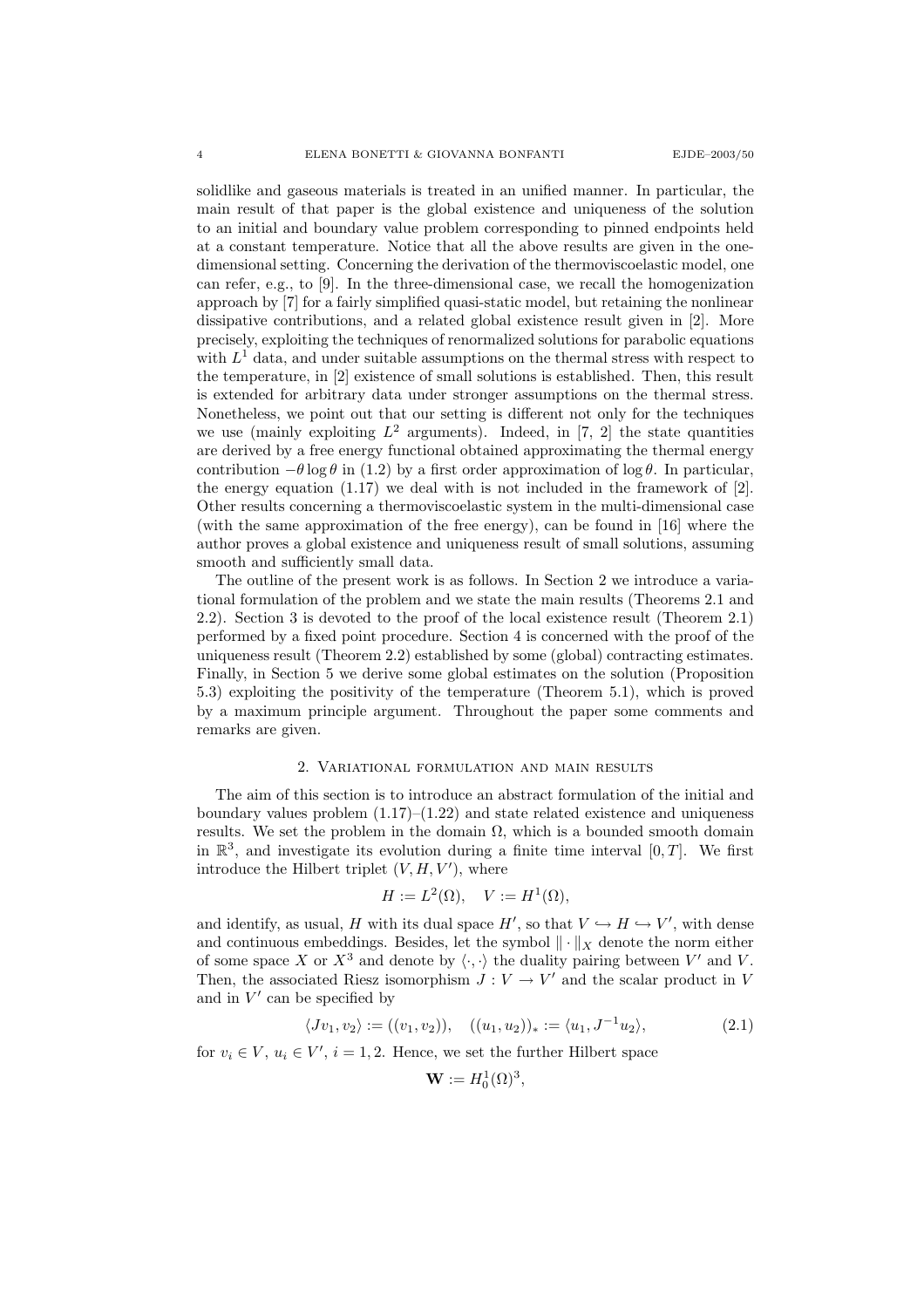solidlike and gaseous materials is treated in an unified manner. In particular, the main result of that paper is the global existence and uniqueness of the solution to an initial and boundary value problem corresponding to pinned endpoints held at a constant temperature. Notice that all the above results are given in the onedimensional setting. Concerning the derivation of the thermoviscoelastic model, one can refer, e.g., to [9]. In the three-dimensional case, we recall the homogenization approach by [7] for a fairly simplified quasi-static model, but retaining the nonlinear dissipative contributions, and a related global existence result given in [2]. More precisely, exploiting the techniques of renormalized solutions for parabolic equations with  $L<sup>1</sup>$  data, and under suitable assumptions on the thermal stress with respect to the temperature, in [2] existence of small solutions is established. Then, this result is extended for arbitrary data under stronger assumptions on the thermal stress. Nonetheless, we point out that our setting is different not only for the techniques we use (mainly exploiting  $L^2$  arguments). Indeed, in [7, 2] the state quantities are derived by a free energy functional obtained approximating the thermal energy contribution  $-\theta \log \theta$  in (1.2) by a first order approximation of log  $\theta$ . In particular, the energy equation  $(1.17)$  we deal with is not included in the framework of [2]. Other results concerning a thermoviscoelastic system in the multi-dimensional case (with the same approximation of the free energy), can be found in [16] where the author proves a global existence and uniqueness result of small solutions, assuming smooth and sufficiently small data.

The outline of the present work is as follows. In Section 2 we introduce a variational formulation of the problem and we state the main results (Theorems 2.1 and 2.2). Section 3 is devoted to the proof of the local existence result (Theorem 2.1) performed by a fixed point procedure. Section 4 is concerned with the proof of the uniqueness result (Theorem 2.2) established by some (global) contracting estimates. Finally, in Section 5 we derive some global estimates on the solution (Proposition 5.3) exploiting the positivity of the temperature (Theorem 5.1), which is proved by a maximum principle argument. Throughout the paper some comments and remarks are given.

#### 2. Variational formulation and main results

The aim of this section is to introduce an abstract formulation of the initial and boundary values problem  $(1.17)$ – $(1.22)$  and state related existence and uniqueness results. We set the problem in the domain  $\Omega$ , which is a bounded smooth domain in  $\mathbb{R}^3$ , and investigate its evolution during a finite time interval  $[0, T]$ . We first introduce the Hilbert triplet  $(V, H, V')$ , where

$$
H := L^2(\Omega), \quad V := H^1(\Omega),
$$

and identify, as usual, H with its dual space  $H'$ , so that  $V \hookrightarrow H \hookrightarrow V'$ , with dense and continuous embeddings. Besides, let the symbol  $\|\cdot\|_X$  denote the norm either of some space X or  $X^3$  and denote by  $\langle \cdot, \cdot \rangle$  the duality pairing between V' and V. Then, the associated Riesz isomorphism  $J: V \to V'$  and the scalar product in V and in  $V'$  can be specified by

$$
\langle Jv_1, v_2 \rangle := ((v_1, v_2)), \quad ((u_1, u_2))_* := \langle u_1, J^{-1}u_2 \rangle,
$$
 (2.1)

for  $v_i \in V$ ,  $u_i \in V'$ ,  $i = 1, 2$ . Hence, we set the further Hilbert space

$$
\mathbf{W} := H_0^1(\Omega)^3,
$$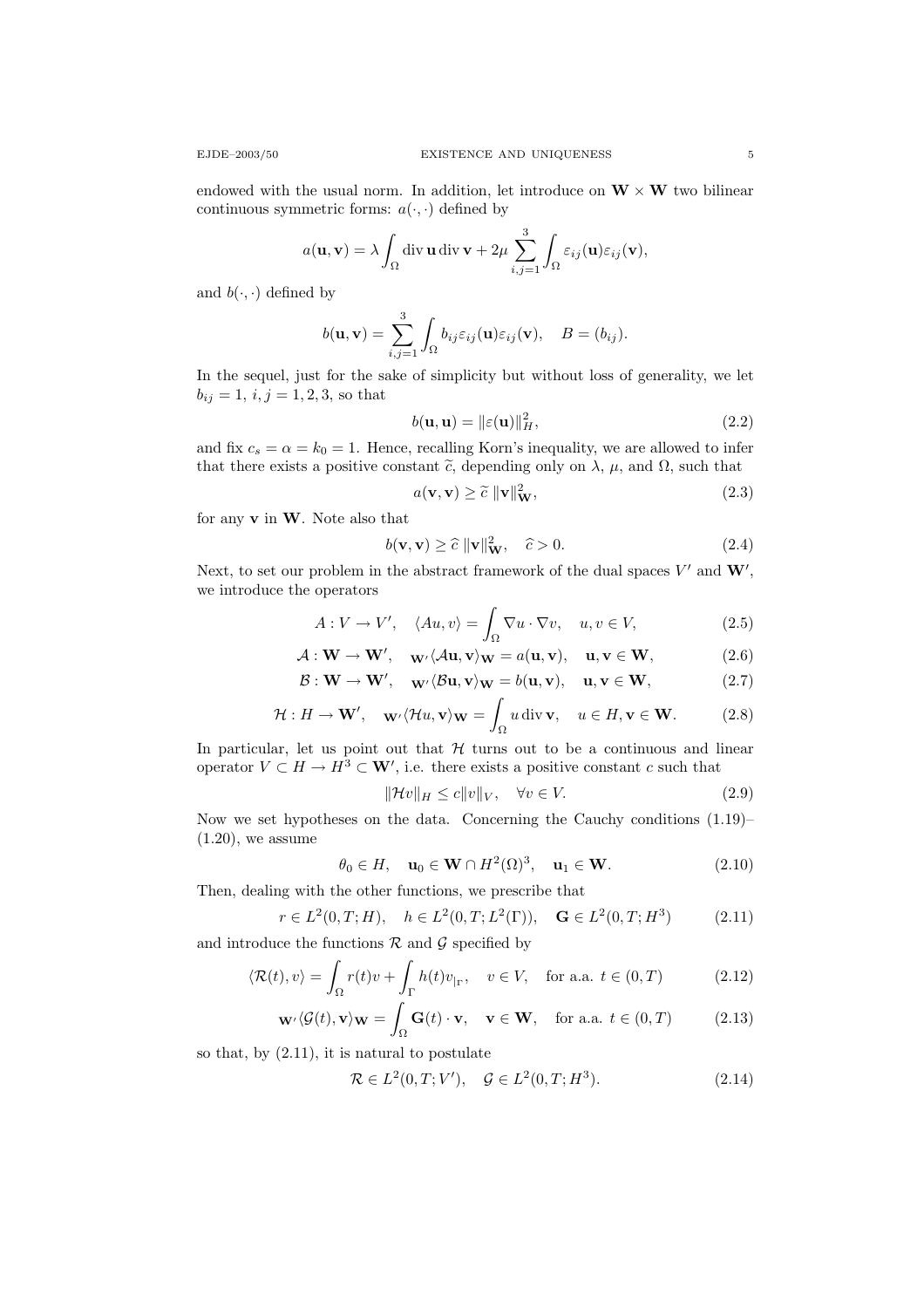endowed with the usual norm. In addition, let introduce on  $W \times W$  two bilinear continuous symmetric forms:  $a(\cdot, \cdot)$  defined by

$$
a(\mathbf{u}, \mathbf{v}) = \lambda \int_{\Omega} \operatorname{div} \mathbf{u} \operatorname{div} \mathbf{v} + 2\mu \sum_{i,j=1}^{3} \int_{\Omega} \varepsilon_{ij}(\mathbf{u}) \varepsilon_{ij}(\mathbf{v}),
$$

and  $b(\cdot, \cdot)$  defined by

$$
b(\mathbf{u}, \mathbf{v}) = \sum_{i,j=1}^{3} \int_{\Omega} b_{ij} \varepsilon_{ij}(\mathbf{u}) \varepsilon_{ij}(\mathbf{v}), \quad B = (b_{ij}).
$$

In the sequel, just for the sake of simplicity but without loss of generality, we let  $b_{ij} = 1, i, j = 1, 2, 3$ , so that

$$
b(\mathbf{u}, \mathbf{u}) = ||\varepsilon(\mathbf{u})||_H^2, \tag{2.2}
$$

and fix  $c_s = \alpha = k_0 = 1$ . Hence, recalling Korn's inequality, we are allowed to infer that there exists a positive constant  $\tilde{c}$ , depending only on  $\lambda$ ,  $\mu$ , and  $\Omega$ , such that

$$
a(\mathbf{v}, \mathbf{v}) \ge \tilde{c} \, \|\mathbf{v}\|_{\mathbf{W}}^2,\tag{2.3}
$$

for any  $v$  in  $W$ . Note also that

$$
b(\mathbf{v}, \mathbf{v}) \ge \hat{c} \|\mathbf{v}\|_{\mathbf{W}}^2, \quad \hat{c} > 0.
$$
 (2.4)

Next, to set our problem in the abstract framework of the dual spaces  $V'$  and  $W'$ , we introduce the operators

$$
A: V \to V', \quad \langle Au, v \rangle = \int_{\Omega} \nabla u \cdot \nabla v, \quad u, v \in V,
$$
 (2.5)

$$
\mathcal{A}: \mathbf{W} \to \mathbf{W}', \quad \mathbf{w}' \langle \mathcal{A} \mathbf{u}, \mathbf{v} \rangle_{\mathbf{W}} = a(\mathbf{u}, \mathbf{v}), \quad \mathbf{u}, \mathbf{v} \in \mathbf{W}, \tag{2.6}
$$

$$
\mathcal{B}: \mathbf{W} \to \mathbf{W}', \quad \mathbf{w}' \langle \mathcal{B} \mathbf{u}, \mathbf{v} \rangle_{\mathbf{W}} = b(\mathbf{u}, \mathbf{v}), \quad \mathbf{u}, \mathbf{v} \in \mathbf{W}, \tag{2.7}
$$

$$
\mathcal{H}: H \to \mathbf{W}', \quad \mathbf{w} \cdot \langle \mathcal{H}u, \mathbf{v} \rangle_{\mathbf{W}} = \int_{\Omega} u \operatorname{div} \mathbf{v}, \quad u \in H, \mathbf{v} \in \mathbf{W}.
$$
 (2.8)

In particular, let us point out that  $H$  turns out to be a continuous and linear operator  $V \subset H \to H^3 \subset \mathbf{W}'$ , i.e. there exists a positive constant c such that

$$
\|\mathcal{H}v\|_{H} \le c\|v\|_{V}, \quad \forall v \in V. \tag{2.9}
$$

Now we set hypotheses on the data. Concerning the Cauchy conditions (1.19)–  $(1.20)$ , we assume

$$
\theta_0 \in H, \quad \mathbf{u}_0 \in \mathbf{W} \cap H^2(\Omega)^3, \quad \mathbf{u}_1 \in \mathbf{W}.\tag{2.10}
$$

Then, dealing with the other functions, we prescribe that

$$
r \in L^{2}(0, T; H), \quad h \in L^{2}(0, T; L^{2}(\Gamma)), \quad \mathbf{G} \in L^{2}(0, T; H^{3}) \tag{2.11}
$$

and introduce the functions  $R$  and  $G$  specified by

$$
\langle \mathcal{R}(t), v \rangle = \int_{\Omega} r(t)v + \int_{\Gamma} h(t)v_{|\Gamma}, \quad v \in V, \quad \text{for a.a. } t \in (0, T)
$$
 (2.12)

$$
\mathbf{w}' \langle \mathcal{G}(t), \mathbf{v} \rangle_{\mathbf{W}} = \int_{\Omega} \mathbf{G}(t) \cdot \mathbf{v}, \quad \mathbf{v} \in \mathbf{W}, \quad \text{for a.a. } t \in (0, T) \tag{2.13}
$$

so that, by (2.11), it is natural to postulate

$$
\mathcal{R} \in L^{2}(0, T; V'), \quad \mathcal{G} \in L^{2}(0, T; H^{3}). \tag{2.14}
$$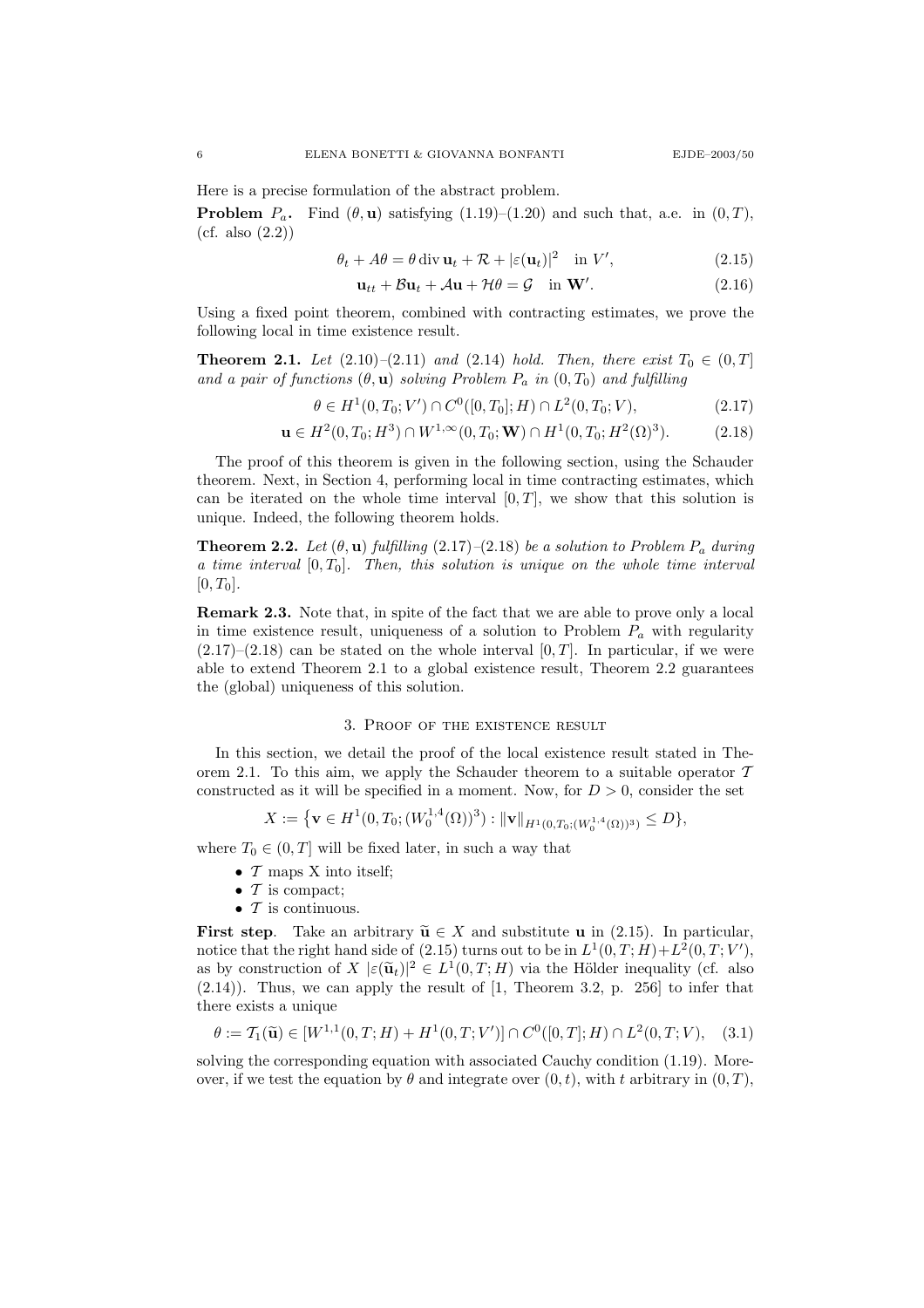Here is a precise formulation of the abstract problem.

**Problem**  $P_a$ . Find  $(\theta, \mathbf{u})$  satisfying  $(1.19)$ – $(1.20)$  and such that, a.e. in  $(0, T)$ , (cf. also (2.2))

$$
\theta_t + A\theta = \theta \operatorname{div} \mathbf{u}_t + \mathcal{R} + |\varepsilon(\mathbf{u}_t)|^2 \quad \text{in } V', \tag{2.15}
$$

$$
\mathbf{u}_{tt} + \mathcal{B}\mathbf{u}_t + \mathcal{A}\mathbf{u} + \mathcal{H}\theta = \mathcal{G} \quad \text{in } \mathbf{W}'. \tag{2.16}
$$

Using a fixed point theorem, combined with contracting estimates, we prove the following local in time existence result.

**Theorem 2.1.** Let  $(2.10)-(2.11)$  and  $(2.14)$  hold. Then, there exist  $T_0 \in (0,T]$ and a pair of functions  $(\theta, \mathbf{u})$  solving Problem  $P_a$  in  $(0, T_0)$  and fulfilling

$$
\theta \in H^1(0, T_0; V') \cap C^0([0, T_0]; H) \cap L^2(0, T_0; V), \tag{2.17}
$$

$$
\mathbf{u} \in H^2(0, T_0; H^3) \cap W^{1, \infty}(0, T_0; \mathbf{W}) \cap H^1(0, T_0; H^2(\Omega)^3). \tag{2.18}
$$

The proof of this theorem is given in the following section, using the Schauder theorem. Next, in Section 4, performing local in time contracting estimates, which can be iterated on the whole time interval  $[0, T]$ , we show that this solution is unique. Indeed, the following theorem holds.

**Theorem 2.2.** Let  $(\theta, \mathbf{u})$  fulfilling  $(2.17)$ – $(2.18)$  be a solution to Problem  $P_a$  during a time interval  $[0, T_0]$ . Then, this solution is unique on the whole time interval  $[0, T_0].$ 

Remark 2.3. Note that, in spite of the fact that we are able to prove only a local in time existence result, uniqueness of a solution to Problem  $P_a$  with regularity  $(2.17)$ – $(2.18)$  can be stated on the whole interval  $[0, T]$ . In particular, if we were able to extend Theorem 2.1 to a global existence result, Theorem 2.2 guarantees the (global) uniqueness of this solution.

#### 3. Proof of the existence result

In this section, we detail the proof of the local existence result stated in Theorem 2.1. To this aim, we apply the Schauder theorem to a suitable operator  $T$ constructed as it will be specified in a moment. Now, for  $D > 0$ , consider the set

$$
X := \{ \mathbf{v} \in H^1(0, T_0; (W_0^{1,4}(\Omega))^3) : ||\mathbf{v}||_{H^1(0,T_0;(W_0^{1,4}(\Omega))^3)} \le D \},
$$

where  $T_0 \in (0, T]$  will be fixed later, in such a way that

- $\mathcal T$  maps X into itself;
- $\bullet$  T is compact;
- $\mathcal T$  is continuous.

First step. Take an arbitrary  $\widetilde{\mathbf{u}} \in X$  and substitute **u** in (2.15). In particular, notice that the right hand side of (2.15) turns out to be in  $L^1(0,T;H) + L^2(0,T;V')$ , as by construction of  $X \mid \varepsilon(\tilde{\mathbf{u}}_t)\rvert^2 \in L^1(0,T;H)$  via the Hölder inequality (cf. also (2.14)). Thus, we can apply the result of [1, Theorem 3.2, p. 256] to infer that there exists a unique

$$
\theta := \mathcal{T}_1(\widetilde{\mathbf{u}}) \in [W^{1,1}(0,T;H) + H^1(0,T;V')] \cap C^0([0,T];H) \cap L^2(0,T;V), \quad (3.1)
$$

solving the corresponding equation with associated Cauchy condition (1.19). Moreover, if we test the equation by  $\theta$  and integrate over  $(0, t)$ , with t arbitrary in  $(0, T)$ ,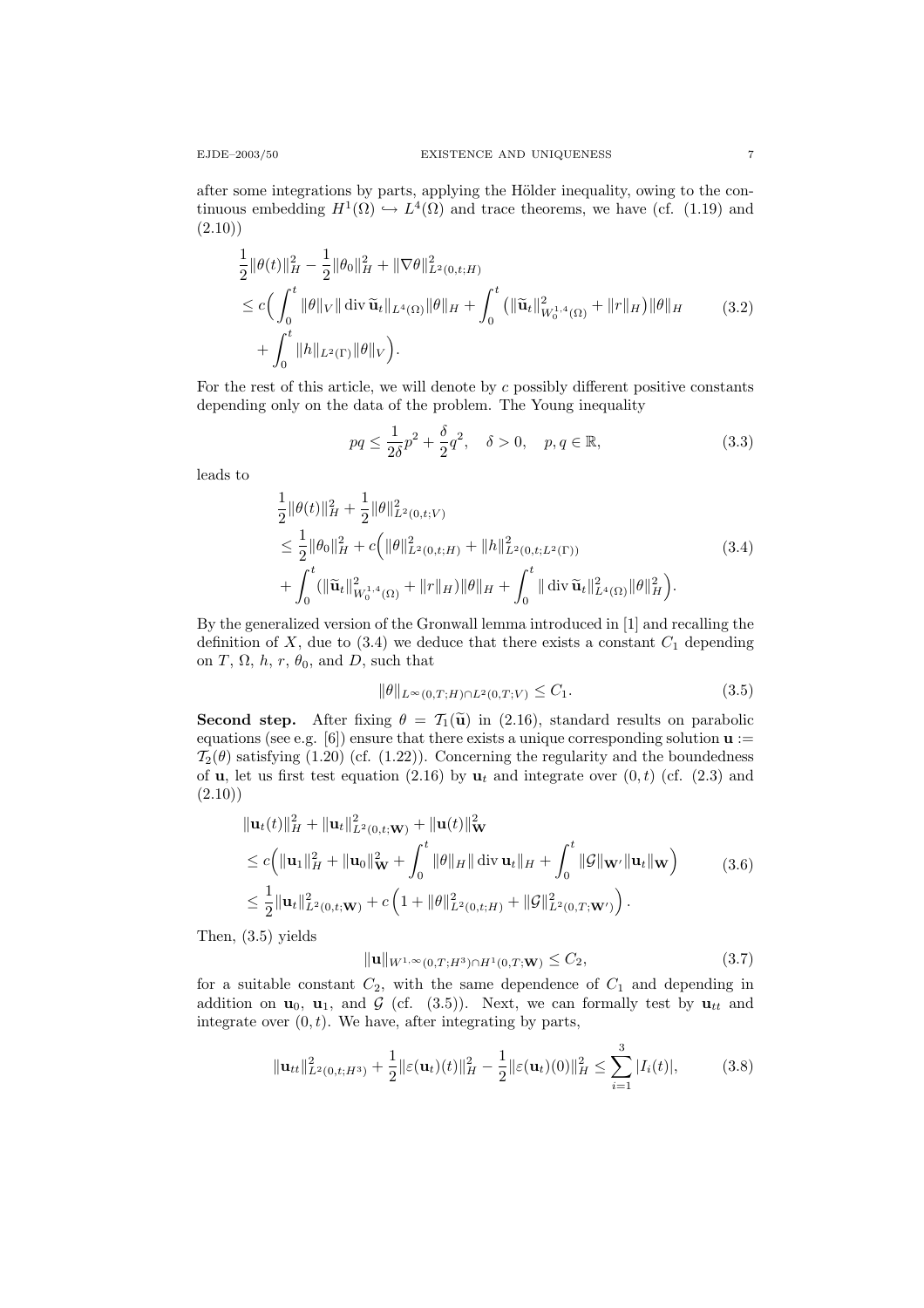after some integrations by parts, applying the Hölder inequality, owing to the continuous embedding  $H^1(\Omega) \hookrightarrow L^4(\Omega)$  and trace theorems, we have (cf. (1.19) and  $(2.10)$ 

$$
\frac{1}{2} ||\theta(t)||_H^2 - \frac{1}{2} ||\theta_0||_H^2 + ||\nabla\theta||_{L^2(0,t;H)}^2 \n\leq c \Big( \int_0^t ||\theta||_V || \operatorname{div} \widetilde{\mathbf{u}}_t ||_{L^4(\Omega)} ||\theta||_H + \int_0^t (||\widetilde{\mathbf{u}}_t||_{W_0^{1,4}(\Omega)}^2 + ||r||_H) ||\theta||_H \n+ \int_0^t ||h||_{L^2(\Gamma)} ||\theta||_V \Big).
$$
\n(3.2)

For the rest of this article, we will denote by  $c$  possibly different positive constants depending only on the data of the problem. The Young inequality

$$
pq \le \frac{1}{2\delta}p^2 + \frac{\delta}{2}q^2, \quad \delta > 0, \quad p, q \in \mathbb{R},
$$
 (3.3)

leads to

$$
\frac{1}{2} ||\theta(t)||_{H}^{2} + \frac{1}{2} ||\theta||_{L^{2}(0,t;V)}^{2} \n\leq \frac{1}{2} ||\theta_{0}||_{H}^{2} + c (||\theta||_{L^{2}(0,t;H)}^{2} + ||h||_{L^{2}(0,t;L^{2}(\Gamma))}^{2} \n+ \int_{0}^{t} (||\widetilde{\mathbf{u}}_{t}||_{W_{0}^{1,4}(\Omega)}^{2} + ||r||_{H}) ||\theta||_{H} + \int_{0}^{t} ||\operatorname{div} \widetilde{\mathbf{u}}_{t}||_{L^{4}(\Omega)}^{2} ||\theta||_{H}^{2}).
$$
\n(3.4)

By the generalized version of the Gronwall lemma introduced in [1] and recalling the definition of  $X$ , due to (3.4) we deduce that there exists a constant  $C_1$  depending on T,  $\Omega$ , h, r,  $\theta_0$ , and D, such that

$$
\|\theta\|_{L^{\infty}(0,T;H)\cap L^{2}(0,T;V)} \leq C_{1}.\tag{3.5}
$$

**Second step.** After fixing  $\theta = \mathcal{T}_1(\tilde{\mathbf{u}})$  in (2.16), standard results on parabolic equations (see e.g. [6]) ensure that there exists a unique corresponding solution  $\mathbf{u} :=$  $\mathcal{T}_2(\theta)$  satisfying (1.20) (cf. (1.22)). Concerning the regularity and the boundedness of **u**, let us first test equation (2.16) by  $\mathbf{u}_t$  and integrate over  $(0, t)$  (cf. (2.3) and  $(2.10)$ 

$$
\|\mathbf{u}_{t}(t)\|_{H}^{2} + \|\mathbf{u}_{t}\|_{L^{2}(0,t; \mathbf{W})}^{2} + \|\mathbf{u}(t)\|_{\mathbf{W}}^{2}
$$
  
\n
$$
\leq c \Big( \|\mathbf{u}_{1}\|_{H}^{2} + \|\mathbf{u}_{0}\|_{\mathbf{W}}^{2} + \int_{0}^{t} \|\theta\|_{H} \|\operatorname{div} \mathbf{u}_{t}\|_{H} + \int_{0}^{t} \|\mathcal{G}\|_{\mathbf{W}'} \|\mathbf{u}_{t}\|_{\mathbf{W}} \Big)
$$
(3.6)  
\n
$$
\leq \frac{1}{2} \|\mathbf{u}_{t}\|_{L^{2}(0,t; \mathbf{W})}^{2} + c \Big( 1 + \|\theta\|_{L^{2}(0,t; H)}^{2} + \|\mathcal{G}\|_{L^{2}(0,T; \mathbf{W}')}^{2} \Big).
$$

Then, (3.5) yields

$$
\|\mathbf{u}\|_{W^{1,\infty}(0,T;H^3)\cap H^1(0,T;\mathbf{W})} \le C_2,\tag{3.7}
$$

for a suitable constant  $C_2$ , with the same dependence of  $C_1$  and depending in addition on  $\mathbf{u}_0$ ,  $\mathbf{u}_1$ , and  $\mathcal{G}$  (cf. (3.5)). Next, we can formally test by  $\mathbf{u}_{tt}$  and integrate over  $(0, t)$ . We have, after integrating by parts,

$$
\|\mathbf{u}_{tt}\|_{L^2(0,t;H^3)}^2 + \frac{1}{2}\|\varepsilon(\mathbf{u}_t)(t)\|_H^2 - \frac{1}{2}\|\varepsilon(\mathbf{u}_t)(0)\|_H^2 \le \sum_{i=1}^3 |I_i(t)|,\tag{3.8}
$$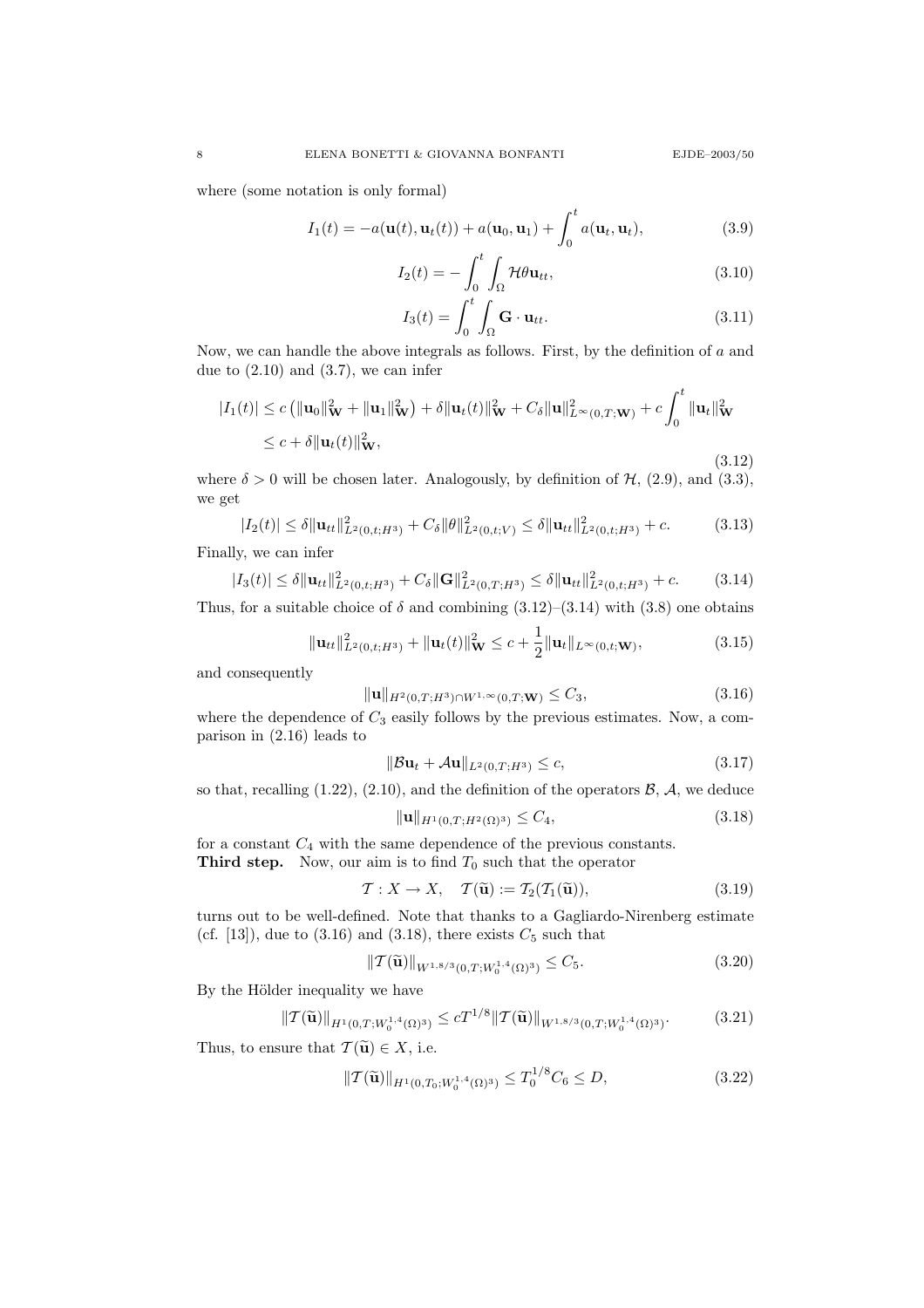where (some notation is only formal)

$$
I_1(t) = -a(\mathbf{u}(t), \mathbf{u}_t(t)) + a(\mathbf{u}_0, \mathbf{u}_1) + \int_0^t a(\mathbf{u}_t, \mathbf{u}_t),
$$
\n(3.9)

$$
I_2(t) = -\int_0^t \int_{\Omega} \mathcal{H} \theta \mathbf{u}_{tt},
$$
\n(3.10)

$$
I_3(t) = \int_0^t \int_{\Omega} \mathbf{G} \cdot \mathbf{u}_{tt}.
$$
 (3.11)

Now, we can handle the above integrals as follows. First, by the definition of  $a$  and due to  $(2.10)$  and  $(3.7)$ , we can infer

$$
|I_1(t)| \leq c \left( \|\mathbf{u}_0\|_{\mathbf{W}}^2 + \|\mathbf{u}_1\|_{\mathbf{W}}^2 \right) + \delta \|\mathbf{u}_t(t)\|_{\mathbf{W}}^2 + C_\delta \|\mathbf{u}\|_{L^\infty(0,T;\mathbf{W})}^2 + c \int_0^t \|\mathbf{u}_t\|_{\mathbf{W}}^2
$$
  
 
$$
\leq c + \delta \|\mathbf{u}_t(t)\|_{\mathbf{W}}^2,
$$
 (3.12)

where  $\delta > 0$  will be chosen later. Analogously, by definition of  $\mathcal{H}$ , (2.9), and (3.3), we get

$$
|I_2(t)| \leq \delta \|\mathbf{u}_{tt}\|_{L^2(0,t;H^3)}^2 + C_{\delta} \|\theta\|_{L^2(0,t;V)}^2 \leq \delta \|\mathbf{u}_{tt}\|_{L^2(0,t;H^3)}^2 + c. \tag{3.13}
$$

Finally, we can infer

$$
|I_3(t)| \leq \delta \|\mathbf{u}_{tt}\|_{L^2(0,t;H^3)}^2 + C_{\delta} \|\mathbf{G}\|_{L^2(0,T;H^3)}^2 \leq \delta \|\mathbf{u}_{tt}\|_{L^2(0,t;H^3)}^2 + c. \tag{3.14}
$$

Thus, for a suitable choice of  $\delta$  and combining  $(3.12)$ – $(3.14)$  with  $(3.8)$  one obtains

$$
\|\mathbf{u}_{tt}\|_{L^2(0,t;H^3)}^2 + \|\mathbf{u}_t(t)\|_{\mathbf{W}}^2 \le c + \frac{1}{2}\|\mathbf{u}_t\|_{L^\infty(0,t;\mathbf{W})},\tag{3.15}
$$

and consequently

$$
\|\mathbf{u}\|_{H^{2}(0,T;H^{3})\cap W^{1,\infty}(0,T;\mathbf{W})} \leq C_{3},
$$
\n(3.16)

where the dependence of  $C_3$  easily follows by the previous estimates. Now, a comparison in (2.16) leads to

$$
\|\mathcal{B}\mathbf{u}_t + \mathcal{A}\mathbf{u}\|_{L^2(0,T;H^3)} \le c,\tag{3.17}
$$

so that, recalling  $(1.22)$ ,  $(2.10)$ , and the definition of the operators  $\mathcal{B}$ ,  $\mathcal{A}$ , we deduce

$$
\|\mathbf{u}\|_{H^1(0,T;H^2(\Omega)^3)} \le C_4,\tag{3.18}
$$

for a constant  $C_4$  with the same dependence of the previous constants. **Third step.** Now, our aim is to find  $T_0$  such that the operator

$$
\mathcal{T}: X \to X, \quad \mathcal{T}(\widetilde{\mathbf{u}}) := \mathcal{T}_2(\mathcal{T}_1(\widetilde{\mathbf{u}})), \tag{3.19}
$$

turns out to be well-defined. Note that thanks to a Gagliardo-Nirenberg estimate (cf. [13]), due to  $(3.16)$  and  $(3.18)$ , there exists  $C_5$  such that

$$
||\mathcal{T}(\widetilde{\mathbf{u}})||_{W^{1,8/3}(0,T;W_0^{1,4}(\Omega)^3)} \leq C_5. \tag{3.20}
$$

By the Hölder inequality we have

$$
\|\mathcal{T}(\widetilde{\mathbf{u}})\|_{H^1(0,T;W_0^{1,4}(\Omega)^3)} \le cT^{1/8} \|\mathcal{T}(\widetilde{\mathbf{u}})\|_{W^{1,8/3}(0,T;W_0^{1,4}(\Omega)^3)}.\tag{3.21}
$$

Thus, to ensure that  $\mathcal{T}(\widetilde{\mathbf{u}}) \in X$ , i.e.

$$
\| \mathcal{T}(\widetilde{\mathbf{u}}) \|_{H^1(0,T_0; W_0^{1,4}(\Omega)^3)} \le T_0^{1/8} C_6 \le D,
$$
\n(3.22)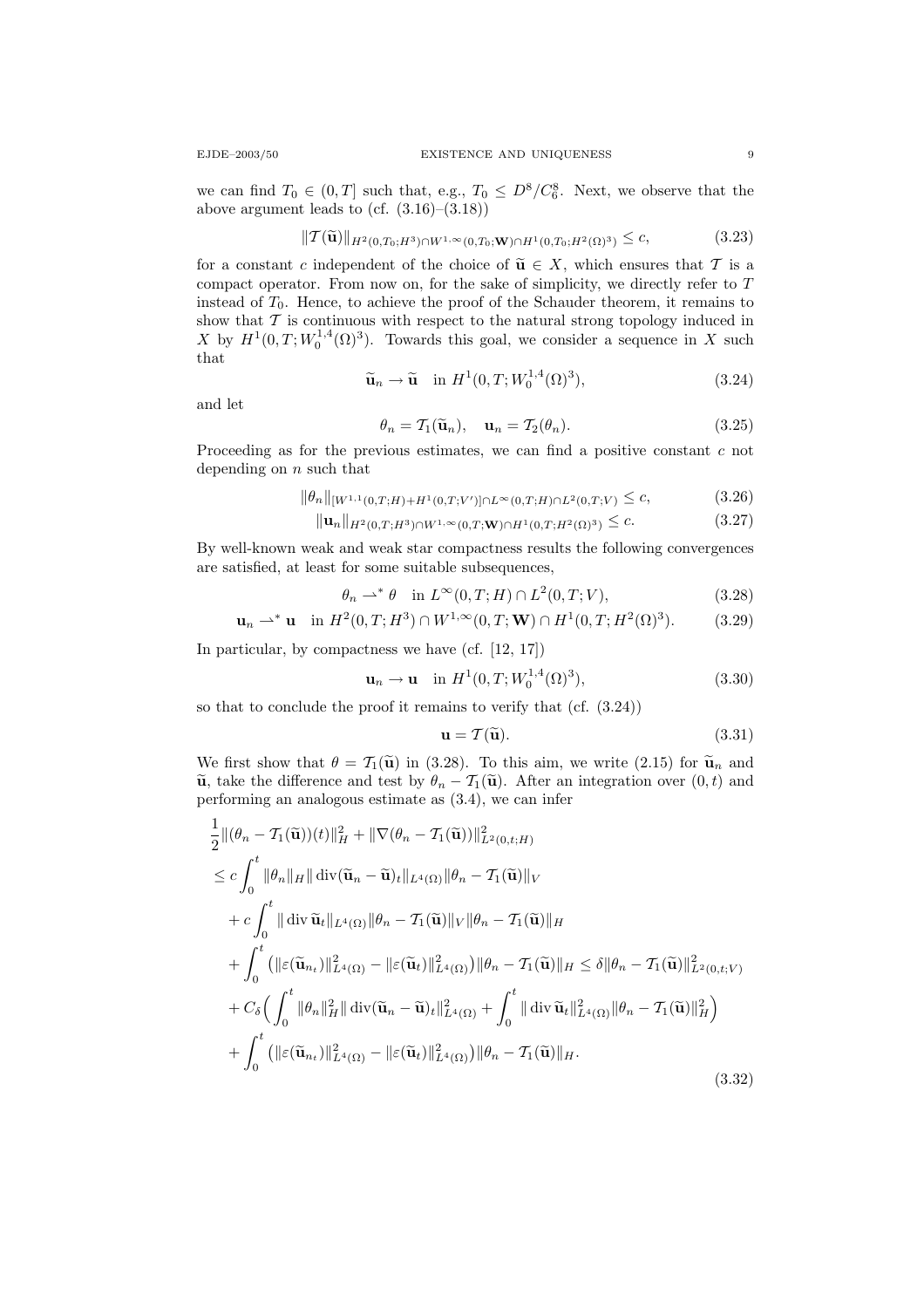we can find  $T_0 \in (0,T]$  such that, e.g.,  $T_0 \leq D^8/C_6^8$ . Next, we observe that the above argument leads to (cf.  $(3.16)$ – $(3.18)$ )

$$
\|T(\widetilde{\mathbf{u}})\|_{H^{2}(0,T_{0};H^{3})\cap W^{1,\infty}(0,T_{0};\mathbf{W})\cap H^{1}(0,T_{0};H^{2}(\Omega)^{3})} \leq c,
$$
\n(3.23)

for a constant c independent of the choice of  $\widetilde{\mathbf{u}} \in X$ , which ensures that T is a compact operator. From now on, for the sake of simplicity, we directly refer to T instead of  $T_0$ . Hence, to achieve the proof of the Schauder theorem, it remains to show that  $\mathcal T$  is continuous with respect to the natural strong topology induced in X by  $H^1(0,T;W_0^{1,4}(\Omega)^3)$ . Towards this goal, we consider a sequence in X such that  $\frac{1}{4}$ 

$$
\widetilde{\mathbf{u}}_n \to \widetilde{\mathbf{u}} \quad \text{in } H^1(0, T; W_0^{1,4}(\Omega)^3), \tag{3.24}
$$

and let

$$
\theta_n = \mathcal{T}_1(\widetilde{\mathbf{u}}_n), \quad \mathbf{u}_n = \mathcal{T}_2(\theta_n). \tag{3.25}
$$

Proceeding as for the previous estimates, we can find a positive constant c not depending on  $n$  such that

$$
\|\theta_n\|_{[W^{1,1}(0,T;H)+H^1(0,T;V')] \cap L^{\infty}(0,T;H) \cap L^2(0,T;V)} \leq c,\tag{3.26}
$$

$$
\|\mathbf{u}_n\|_{H^2(0,T;H^3)\cap W^{1,\infty}(0,T;\mathbf{W})\cap H^1(0,T;H^2(\Omega)^3)} \leq c. \tag{3.27}
$$

By well-known weak and weak star compactness results the following convergences are satisfied, at least for some suitable subsequences,

$$
\theta_n \rightharpoonup^* \theta \quad \text{in } L^\infty(0, T; H) \cap L^2(0, T; V), \tag{3.28}
$$

$$
\mathbf{u}_n \rightharpoonup^* \mathbf{u} \quad \text{in } H^2(0, T; H^3) \cap W^{1, \infty}(0, T; \mathbf{W}) \cap H^1(0, T; H^2(\Omega)^3). \tag{3.29}
$$

In particular, by compactness we have (cf. [12, 17])

$$
\mathbf{u}_n \to \mathbf{u} \quad \text{in } H^1(0, T; W_0^{1,4}(\Omega)^3), \tag{3.30}
$$

so that to conclude the proof it remains to verify that (cf. (3.24))

$$
\mathbf{u} = \mathcal{T}(\widetilde{\mathbf{u}}). \tag{3.31}
$$

We first show that  $\theta = \mathcal{T}_1(\tilde{\mathbf{u}})$  in (3.28). To this aim, we write (2.15) for  $\tilde{\mathbf{u}}_n$  and  $\tilde{\mathbf{u}}$ , take the difference and test by  $\theta_n - \mathcal{T}_1(\tilde{\mathbf{u}})$ . After an integration over  $(0, t)$  and performing an analogous estimate as (3.4), we can infer

$$
\frac{1}{2} ||(\theta_n - \mathcal{T}_1(\widetilde{\mathbf{u}}))(t)||_H^2 + ||\nabla(\theta_n - \mathcal{T}_1(\widetilde{\mathbf{u}}))||_{L^2(0,t;H)}^2
$$
\n
$$
\leq c \int_0^t ||\theta_n||_H || \operatorname{div}(\widetilde{\mathbf{u}}_n - \widetilde{\mathbf{u}})_t ||_{L^4(\Omega)} ||\theta_n - \mathcal{T}_1(\widetilde{\mathbf{u}})||_V
$$
\n
$$
+ c \int_0^t || \operatorname{div} \widetilde{\mathbf{u}}_t ||_{L^4(\Omega)} ||\theta_n - \mathcal{T}_1(\widetilde{\mathbf{u}})||_V ||\theta_n - \mathcal{T}_1(\widetilde{\mathbf{u}})||_H
$$
\n
$$
+ \int_0^t (||\varepsilon(\widetilde{\mathbf{u}}_{n_t})||_{L^4(\Omega)}^2 - ||\varepsilon(\widetilde{\mathbf{u}}_t)||_{L^4(\Omega)}^2) ||\theta_n - \mathcal{T}_1(\widetilde{\mathbf{u}})||_H \leq \delta ||\theta_n - \mathcal{T}_1(\widetilde{\mathbf{u}})||_{L^2(0,t;V)}^2
$$
\n
$$
+ C_\delta \Big( \int_0^t ||\theta_n||_H^2 || \operatorname{div}(\widetilde{\mathbf{u}}_n - \widetilde{\mathbf{u}})_t ||_{L^4(\Omega)}^2 + \int_0^t || \operatorname{div} \widetilde{\mathbf{u}}_t ||_{L^4(\Omega)}^2 ||\theta_n - \mathcal{T}_1(\widetilde{\mathbf{u}})||_H^2 \Big)
$$
\n
$$
+ \int_0^t (||\varepsilon(\widetilde{\mathbf{u}}_{n_t})||_{L^4(\Omega)}^2 - ||\varepsilon(\widetilde{\mathbf{u}}_t)||_{L^4(\Omega)}^2) ||\theta_n - \mathcal{T}_1(\widetilde{\mathbf{u}})||_H.
$$
\n(3.32)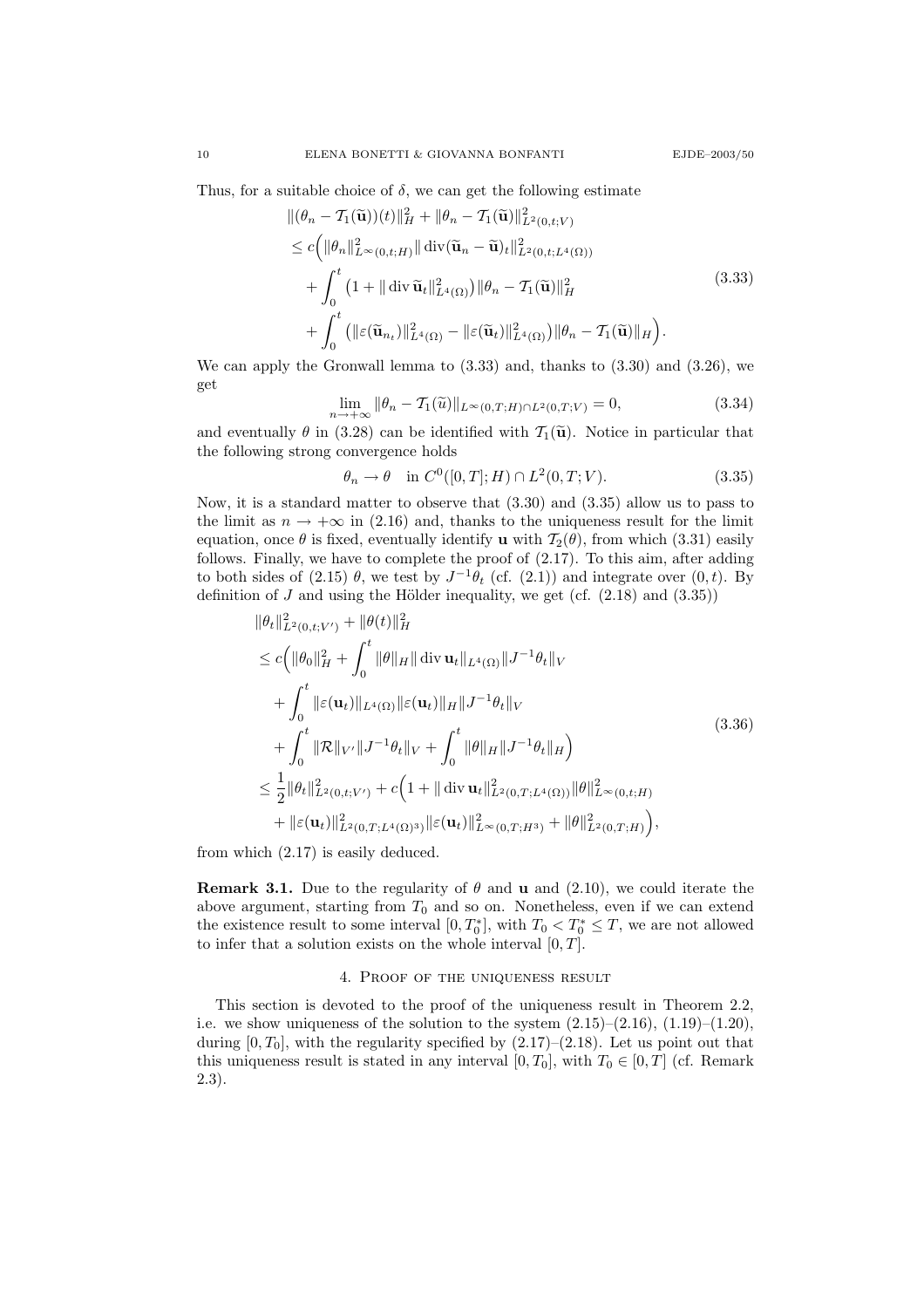Thus, for a suitable choice of  $\delta$ , we can get the following estimate

$$
\begin{split}\n\|(\theta_n - \mathcal{T}_1(\widetilde{\mathbf{u}}))(t)\|_H^2 + \|\theta_n - \mathcal{T}_1(\widetilde{\mathbf{u}})\|_{L^2(0,t;V)}^2 \\
&\leq c \Big( \|\theta_n\|_{L^\infty(0,t;H)}^2 \|\operatorname{div}(\widetilde{\mathbf{u}}_n - \widetilde{\mathbf{u}})_t\|_{L^2(0,t;L^4(\Omega))}^2 \\
&\quad + \int_0^t \left(1 + \|\operatorname{div} \widetilde{\mathbf{u}}_t\|_{L^4(\Omega)}^2\right) \|\theta_n - \mathcal{T}_1(\widetilde{\mathbf{u}})\|_H^2 \\
&\quad + \int_0^t \left( \|\varepsilon(\widetilde{\mathbf{u}}_{n_t})\|_{L^4(\Omega)}^2 - \|\varepsilon(\widetilde{\mathbf{u}}_t)\|_{L^4(\Omega)}^2 \right) \|\theta_n - \mathcal{T}_1(\widetilde{\mathbf{u}})\|_H \Big). \n\end{split} \tag{3.33}
$$

We can apply the Gronwall lemma to  $(3.33)$  and, thanks to  $(3.30)$  and  $(3.26)$ , we get

$$
\lim_{n \to +\infty} \|\theta_n - \mathcal{T}_1(\tilde{u})\|_{L^\infty(0,T;H) \cap L^2(0,T;V)} = 0,
$$
\n(3.34)

and eventually  $\theta$  in (3.28) can be identified with  $\mathcal{T}_1(\tilde{\mathbf{u}})$ . Notice in particular that the following strong convergence holds

$$
\theta_n \to \theta \quad \text{in } C^0([0,T];H) \cap L^2(0,T;V). \tag{3.35}
$$

Now, it is a standard matter to observe that (3.30) and (3.35) allow us to pass to the limit as  $n \to +\infty$  in (2.16) and, thanks to the uniqueness result for the limit equation, once  $\theta$  is fixed, eventually identify **u** with  $\mathcal{T}_2(\theta)$ , from which (3.31) easily follows. Finally, we have to complete the proof of (2.17). To this aim, after adding to both sides of (2.15)  $\theta$ , we test by  $J^{-1}\theta_t$  (cf. (2.1)) and integrate over (0, t). By definition of  $J$  and using the Hölder inequality, we get (cf.  $(2.18)$  and  $(3.35)$ )

$$
\|\theta_t\|_{L^2(0,t;V')}^2 + \|\theta(t)\|_H^2
$$
  
\n
$$
\leq c \Big( \|\theta_0\|_H^2 + \int_0^t \|\theta\|_H \|\operatorname{div} \mathbf{u}_t\|_{L^4(\Omega)} \|J^{-1}\theta_t\|_V
$$
  
\n
$$
+ \int_0^t \|\varepsilon(\mathbf{u}_t)\|_{L^4(\Omega)} \|\varepsilon(\mathbf{u}_t)\|_H \|J^{-1}\theta_t\|_V
$$
  
\n
$$
+ \int_0^t \|\mathcal{R}\|_{V'} \|J^{-1}\theta_t\|_V + \int_0^t \|\theta\|_H \|J^{-1}\theta_t\|_H
$$
  
\n
$$
\leq \frac{1}{2} \|\theta_t\|_{L^2(0,t;V')}^2 + c \Big(1 + \|\operatorname{div} \mathbf{u}_t\|_{L^2(0,T;L^4(\Omega))}^2 \|\theta\|_{L^\infty(0,t;H)}^2
$$
  
\n
$$
+ \|\varepsilon(\mathbf{u}_t)\|_{L^2(0,T;L^4(\Omega)^3)}^2 \|\varepsilon(\mathbf{u}_t)\|_{L^\infty(0,T;H^3)}^2 + \|\theta\|_{L^2(0,T;H)}^2 \Big),
$$
\n(3.36)

from which (2.17) is easily deduced.

**Remark 3.1.** Due to the regularity of  $\theta$  and **u** and (2.10), we could iterate the above argument, starting from  $T_0$  and so on. Nonetheless, even if we can extend the existence result to some interval  $[0, T_0^*]$ , with  $T_0 < T_0^* \leq T$ , we are not allowed to infer that a solution exists on the whole interval  $[0, T]$ .

### 4. Proof of the uniqueness result

This section is devoted to the proof of the uniqueness result in Theorem 2.2, i.e. we show uniqueness of the solution to the system  $(2.15)-(2.16)$ ,  $(1.19)-(1.20)$ , during  $[0, T_0]$ , with the regularity specified by  $(2.17)$ – $(2.18)$ . Let us point out that this uniqueness result is stated in any interval  $[0, T_0]$ , with  $T_0 \in [0, T]$  (cf. Remark 2.3).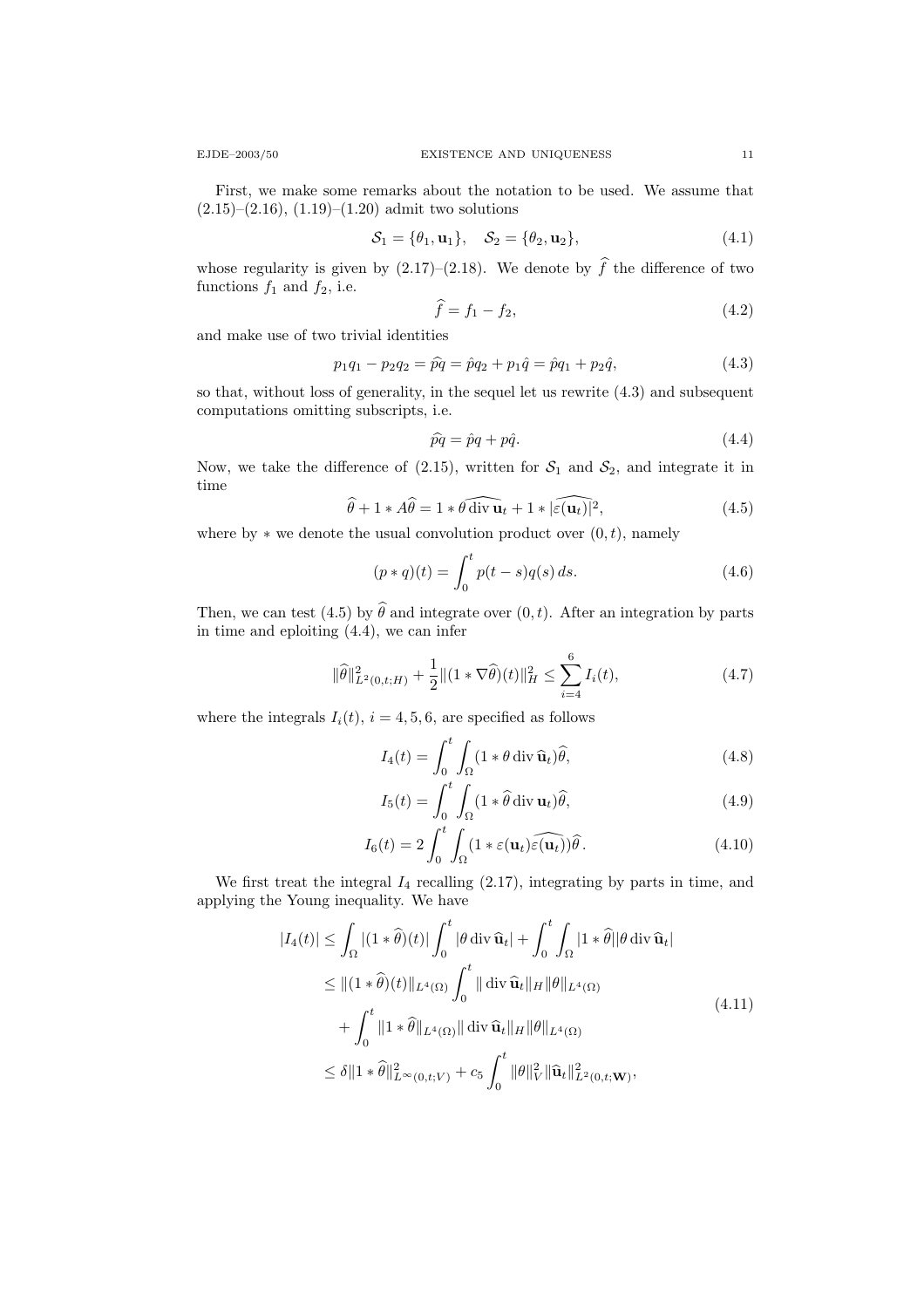First, we make some remarks about the notation to be used. We assume that  $(2.15)$ – $(2.16)$ ,  $(1.19)$ – $(1.20)$  admit two solutions

$$
S_1 = \{\theta_1, \mathbf{u}_1\}, \quad S_2 = \{\theta_2, \mathbf{u}_2\}, \tag{4.1}
$$

whose regularity is given by  $(2.17)-(2.18)$ . We denote by  $\hat{f}$  the difference of two functions  $f_1$  and  $f_2$ , i.e.

$$
\widehat{f} = f_1 - f_2,\tag{4.2}
$$

and make use of two trivial identities

$$
p_1q_1 - p_2q_2 = \hat{p}q = \hat{p}q_2 + p_1\hat{q} = \hat{p}q_1 + p_2\hat{q},\tag{4.3}
$$

so that, without loss of generality, in the sequel let us rewrite (4.3) and subsequent computations omitting subscripts, i.e.

$$
\hat{pq} = \hat{p}q + p\hat{q}.\tag{4.4}
$$

Now, we take the difference of (2.15), written for  $S_1$  and  $S_2$ , and integrate it in time

$$
\widehat{\theta} + 1 * A\widehat{\theta} = 1 * \widehat{\theta \operatorname{div} \mathbf{u}}_t + 1 * |\widehat{\varepsilon(\mathbf{u}_t)}|^2, \tag{4.5}
$$

where by  $*$  we denote the usual convolution product over  $(0, t)$ , namely

$$
(p * q)(t) = \int_0^t p(t - s)q(s) ds.
$$
 (4.6)

Then, we can test (4.5) by  $\hat{\theta}$  and integrate over  $(0, t)$ . After an integration by parts in time and eploiting (4.4), we can infer

$$
\|\widehat{\theta}\|_{L^2(0,t;H)}^2 + \frac{1}{2} \|(1 \times \nabla \widehat{\theta})(t)\|_{H}^2 \le \sum_{i=4}^6 I_i(t),
$$
\n(4.7)

where the integrals  $I_i(t)$ ,  $i = 4, 5, 6$ , are specified as follows

$$
I_4(t) = \int_0^t \int_{\Omega} (1 * \theta \operatorname{div} \widehat{\mathbf{u}}_t) \widehat{\theta}, \tag{4.8}
$$

$$
I_5(t) = \int_0^t \int_{\Omega} (1 * \hat{\theta} \operatorname{div} \mathbf{u}_t) \hat{\theta}, \tag{4.9}
$$

$$
I_6(t) = 2 \int_0^t \int_{\Omega} (1 * \varepsilon(\mathbf{u}_t) \widehat{\varepsilon(\mathbf{u}_t)}) \widehat{\theta}.
$$
 (4.10)

We first treat the integral  $I_4$  recalling  $(2.17)$ , integrating by parts in time, and applying the Young inequality. We have

$$
|I_4(t)| \leq \int_{\Omega} |(1 * \hat{\theta})(t)| \int_0^t |\theta \operatorname{div} \hat{\mathbf{u}}_t| + \int_0^t \int_{\Omega} |1 * \hat{\theta}| |\theta \operatorname{div} \hat{\mathbf{u}}_t|
$$
  
\n
$$
\leq ||(1 * \hat{\theta})(t)||_{L^4(\Omega)} \int_0^t ||\operatorname{div} \hat{\mathbf{u}}_t||_H ||\theta||_{L^4(\Omega)}
$$
  
\n
$$
+ \int_0^t ||1 * \hat{\theta}||_{L^4(\Omega)} ||\operatorname{div} \hat{\mathbf{u}}_t||_H ||\theta||_{L^4(\Omega)}
$$
  
\n
$$
\leq \delta ||1 * \hat{\theta}||_{L^{\infty}(0, t; V)}^2 + c_5 \int_0^t ||\theta||_V^2 ||\hat{\mathbf{u}}_t||_{L^2(0, t; \mathbf{W})}^2,
$$
\n(4.11)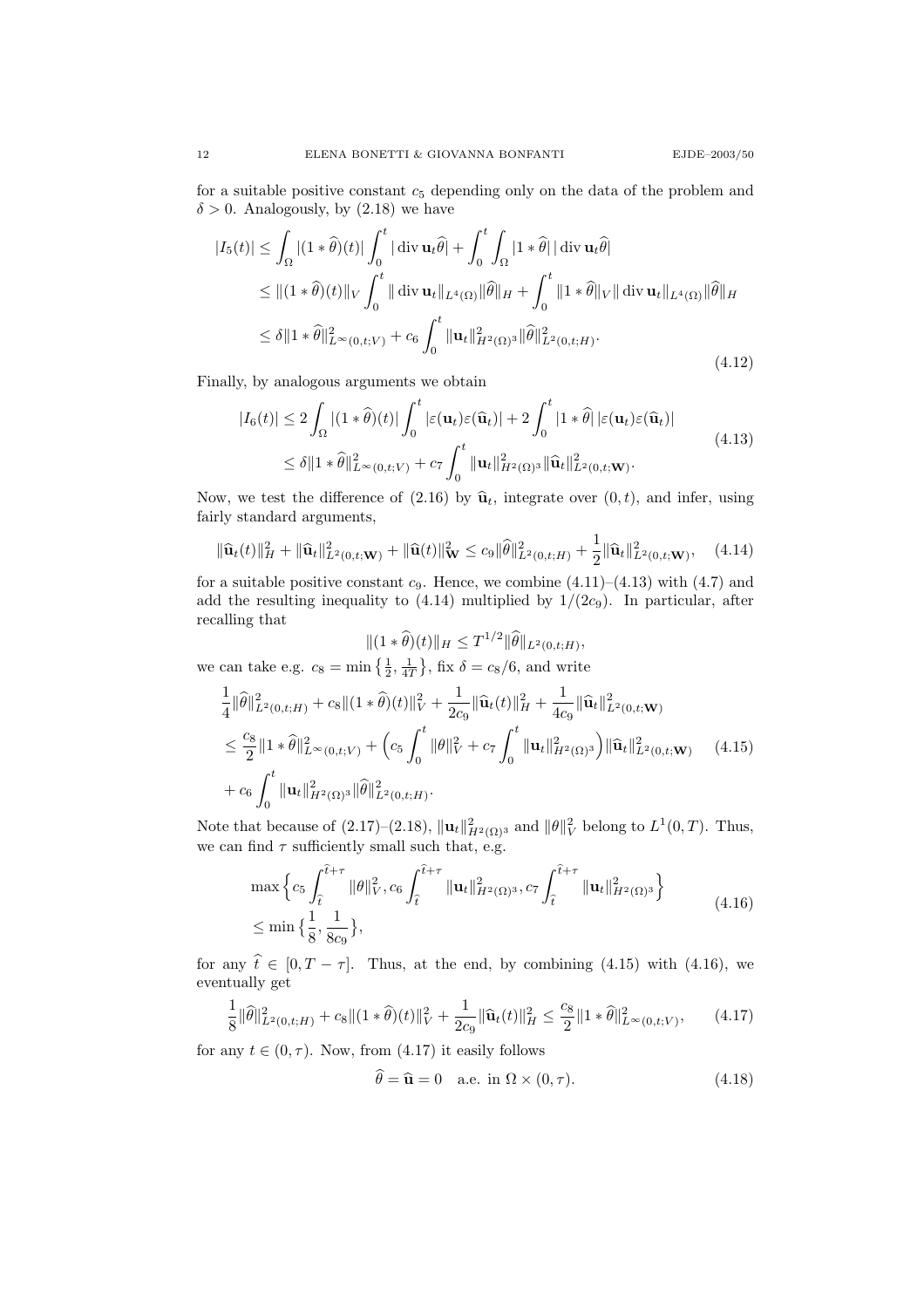for a suitable positive constant  $c<sub>5</sub>$  depending only on the data of the problem and  $\delta > 0$ . Analogously, by (2.18) we have

$$
|I_5(t)| \leq \int_{\Omega} |(1 * \hat{\theta})(t)| \int_0^t |\operatorname{div} \mathbf{u}_t \hat{\theta}| + \int_0^t \int_{\Omega} |1 * \hat{\theta}| |\operatorname{div} \mathbf{u}_t \hat{\theta}|
$$
  
\n
$$
\leq ||(1 * \hat{\theta})(t)||_V \int_0^t ||\operatorname{div} \mathbf{u}_t||_{L^4(\Omega)} ||\hat{\theta}||_H + \int_0^t ||1 * \hat{\theta}||_V ||\operatorname{div} \mathbf{u}_t||_{L^4(\Omega)} ||\hat{\theta}||_H
$$
  
\n
$$
\leq \delta ||1 * \hat{\theta}||_{L^{\infty}(0, t; V)}^2 + c_6 \int_0^t ||\mathbf{u}_t||_{H^2(\Omega)}^2 ||\hat{\theta}||_{L^2(0, t; H)}^2.
$$
\n(4.12)

Finally, by analogous arguments we obtain

$$
|I_6(t)| \le 2 \int_{\Omega} |(1 * \widehat{\theta})(t)| \int_0^t |\varepsilon(\mathbf{u}_t)\varepsilon(\widehat{\mathbf{u}}_t)| + 2 \int_0^t |1 * \widehat{\theta}| |\varepsilon(\mathbf{u}_t)\varepsilon(\widehat{\mathbf{u}}_t)|
$$
  
\n
$$
\le \delta \|1 * \widehat{\theta}\|_{L^{\infty}(0, t; V)}^2 + c_7 \int_0^t \|\mathbf{u}_t\|_{H^2(\Omega)}^2 \|\widehat{\mathbf{u}}_t\|_{L^2(0, t; \mathbf{W})}^2.
$$
\n(4.13)

Now, we test the difference of (2.16) by  $\hat{\mathbf{u}}_t$ , integrate over  $(0, t)$ , and infer, using fairly standard arguments,

$$
\|\widehat{\mathbf{u}}_t(t)\|_{H}^2 + \|\widehat{\mathbf{u}}_t\|_{L^2(0,t;\mathbf{W})}^2 + \|\widehat{\mathbf{u}}(t)\|_{\mathbf{W}}^2 \le c_9 \|\widehat{\theta}\|_{L^2(0,t;H)}^2 + \frac{1}{2} \|\widehat{\mathbf{u}}_t\|_{L^2(0,t;\mathbf{W})}^2, \quad (4.14)
$$

for a suitable positive constant  $c_9$ . Hence, we combine  $(4.11)$ – $(4.13)$  with  $(4.7)$  and add the resulting inequality to  $(4.14)$  multiplied by  $1/(2c_9)$ . In particular, after recalling that

$$
\|(1*\widehat{\theta})(t)\|_{H} \leq T^{1/2} \|\widehat{\theta}\|_{L^{2}(0,t;H)},
$$

we can take e.g.  $c_8 = \min\left\{\frac{1}{2}, \frac{1}{4T}\right\}$ , fix  $\delta = c_8/6$ , and write

$$
\frac{1}{4} \|\widehat{\theta}\|_{L^2(0,t;H)}^2 + c_8 \|(1*\widehat{\theta})(t)\|_{V}^2 + \frac{1}{2c_9} \|\widehat{\mathbf{u}}_t(t)\|_{H}^2 + \frac{1}{4c_9} \|\widehat{\mathbf{u}}_t\|_{L^2(0,t; \mathbf{W})}^2
$$
\n
$$
\leq \frac{c_8}{2} \|1*\widehat{\theta}\|_{L^\infty(0,t;V)}^2 + \left(c_5 \int_0^t \|\theta\|_{V}^2 + c_7 \int_0^t \|\mathbf{u}_t\|_{H^2(\Omega)^3}^2 \right) \|\widehat{\mathbf{u}}_t\|_{L^2(0,t; \mathbf{W})}^2 \qquad (4.15)
$$
\n
$$
+ c_6 \int_0^t \|\mathbf{u}_t\|_{H^2(\Omega)^3}^2 \|\widehat{\theta}\|_{L^2(0,t;H)}^2.
$$

Note that because of  $(2.17)$ – $(2.18)$ ,  $\|\mathbf{u}_t\|_{H^2(\Omega)^3}^2$  and  $\|\theta\|_V^2$  belong to  $L^1(0,T)$ . Thus, we can find  $\tau$  sufficiently small such that, e.g.

$$
\max \left\{ c_5 \int_{\hat{t}}^{\hat{t}+\tau} \|\theta\|_{V}^2, c_6 \int_{\hat{t}}^{\hat{t}+\tau} \|\mathbf{u}_t\|_{H^2(\Omega)^3}^2, c_7 \int_{\hat{t}}^{\hat{t}+\tau} \|\mathbf{u}_t\|_{H^2(\Omega)^3}^2 \right\}
$$
\n
$$
\leq \min \left\{ \frac{1}{8}, \frac{1}{8c_9} \right\},
$$
\n(4.16)

for any  $\hat{t} \in [0, T - \tau]$ . Thus, at the end, by combining (4.15) with (4.16), we eventually get

$$
\frac{1}{8} \|\widehat{\theta}\|_{L^2(0,t;H)}^2 + c_8 \|(1*\widehat{\theta})(t)\|_{V}^2 + \frac{1}{2c_9} \|\widehat{\mathbf{u}}_t(t)\|_{H}^2 \le \frac{c_8}{2} \|1*\widehat{\theta}\|_{L^\infty(0,t;V)}^2, \qquad (4.17)
$$

for any  $t \in (0, \tau)$ . Now, from (4.17) it easily follows

$$
\hat{\theta} = \hat{\mathbf{u}} = 0 \quad \text{a.e. in } \Omega \times (0, \tau). \tag{4.18}
$$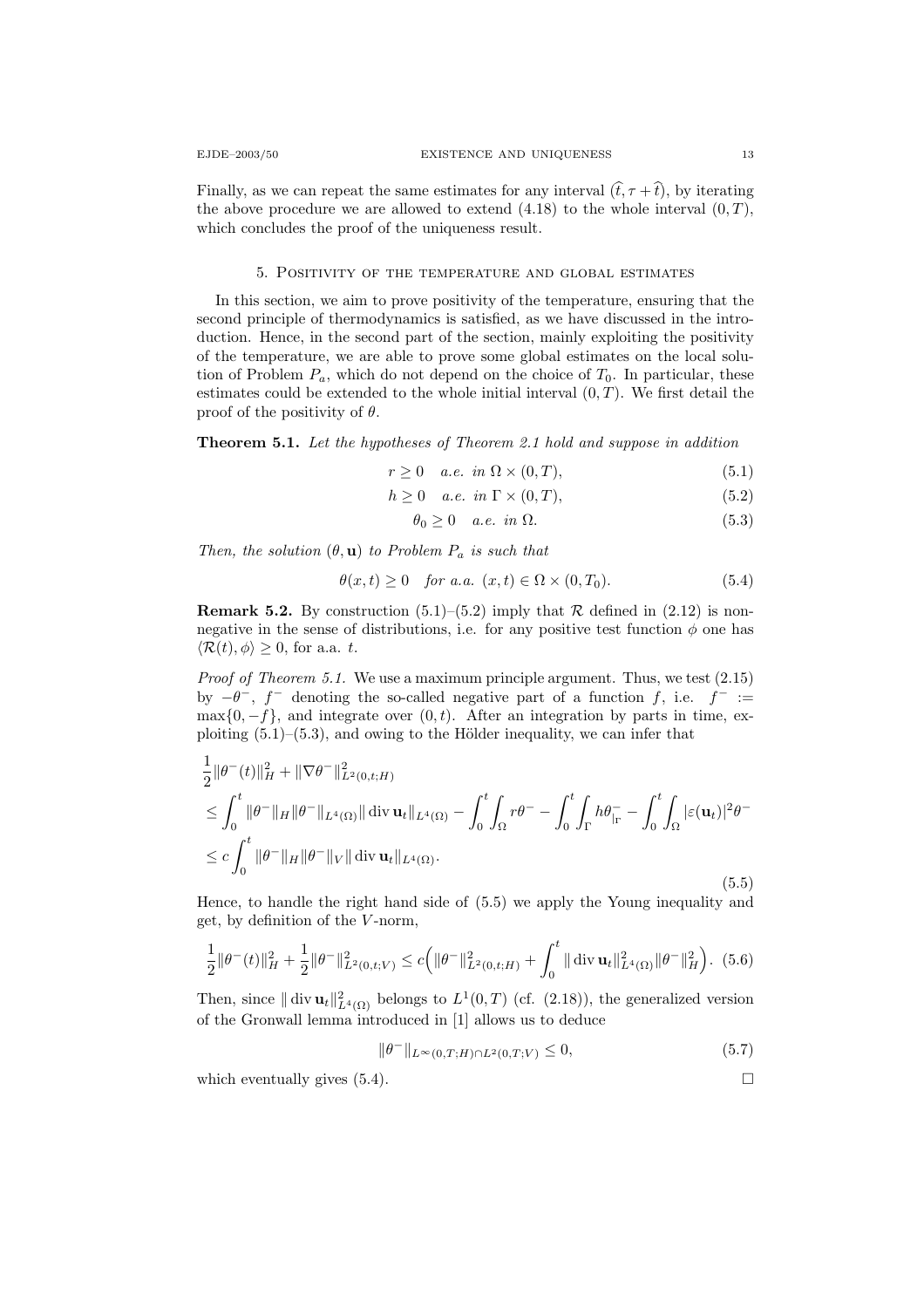Finally, as we can repeat the same estimates for any interval  $(\hat{t}, \tau + \hat{t})$ , by iterating the above procedure we are allowed to extend  $(4.18)$  to the whole interval  $(0, T)$ , which concludes the proof of the uniqueness result.

#### 5. Positivity of the temperature and global estimates

In this section, we aim to prove positivity of the temperature, ensuring that the second principle of thermodynamics is satisfied, as we have discussed in the introduction. Hence, in the second part of the section, mainly exploiting the positivity of the temperature, we are able to prove some global estimates on the local solution of Problem  $P_a$ , which do not depend on the choice of  $T_0$ . In particular, these estimates could be extended to the whole initial interval  $(0, T)$ . We first detail the proof of the positivity of  $\theta$ .

Theorem 5.1. Let the hypotheses of Theorem 2.1 hold and suppose in addition

$$
r \ge 0 \quad a.e. \in \mathbb{R} \times (0, T), \tag{5.1}
$$

$$
h \ge 0 \quad a.e. \in \Gamma \times (0, T), \tag{5.2}
$$

$$
\theta_0 \ge 0 \quad a.e. \in \mathbb{R} \quad (5.3)
$$

Then, the solution  $(\theta, \mathbf{u})$  to Problem  $P_a$  is such that

$$
\theta(x,t) \ge 0 \quad \text{for a.a. } (x,t) \in \Omega \times (0,T_0). \tag{5.4}
$$

**Remark 5.2.** By construction  $(5.1)$ – $(5.2)$  imply that  $\mathcal{R}$  defined in  $(2.12)$  is nonnegative in the sense of distributions, i.e. for any positive test function  $\phi$  one has  $\langle \mathcal{R}(t), \phi \rangle \geq 0$ , for a.a. t.

Proof of Theorem 5.1. We use a maximum principle argument. Thus, we test  $(2.15)$ by  $-\theta^{-}$ , f denoting the so-called negative part of a function f, i.e. f = :=  $\max\{0, -f\}$ , and integrate over  $(0, t)$ . After an integration by parts in time, exploiting  $(5.1)$ – $(5.3)$ , and owing to the Hölder inequality, we can infer that

$$
\frac{1}{2} ||\theta^{-}(t)||_{H}^{2} + ||\nabla\theta^{-}||_{L^{2}(0,t;H)}^{2}
$$
\n
$$
\leq \int_{0}^{t} ||\theta^{-}||_{H} ||\theta^{-}||_{L^{4}(\Omega)} || \operatorname{div} \mathbf{u}_{t}||_{L^{4}(\Omega)} - \int_{0}^{t} \int_{\Omega} r\theta^{-} - \int_{0}^{t} \int_{\Gamma} h\theta_{\Gamma}^{-} - \int_{0}^{t} \int_{\Omega} |\varepsilon(\mathbf{u}_{t})|^{2} \theta^{-}
$$
\n
$$
\leq c \int_{0}^{t} ||\theta^{-}||_{H} ||\theta^{-}||_{V} || \operatorname{div} \mathbf{u}_{t}||_{L^{4}(\Omega)}.
$$
\n(5.5)

Hence, to handle the right hand side of (5.5) we apply the Young inequality and get, by definition of the  $V$ -norm,

$$
\frac{1}{2} \|\theta^-(t)\|_H^2 + \frac{1}{2} \|\theta^-\|_{L^2(0,t;V)}^2 \le c \left( \|\theta^-\|_{L^2(0,t;H)}^2 + \int_0^t \|\operatorname{div} \mathbf{u}_t\|_{L^4(\Omega)}^2 \|\theta^-\|_H^2 \right). \tag{5.6}
$$

Then, since  $\|\text{div }\mathbf{u}_t\|_{L^4(\Omega)}^2$  belongs to  $L^1(0,T)$  (cf. (2.18)), the generalized version of the Gronwall lemma introduced in [1] allows us to deduce

$$
\|\theta^{-}\|_{L^{\infty}(0,T;H)\cap L^{2}(0,T;V)} \leq 0,
$$
\n(5.7)

which eventually gives  $(5.4)$ .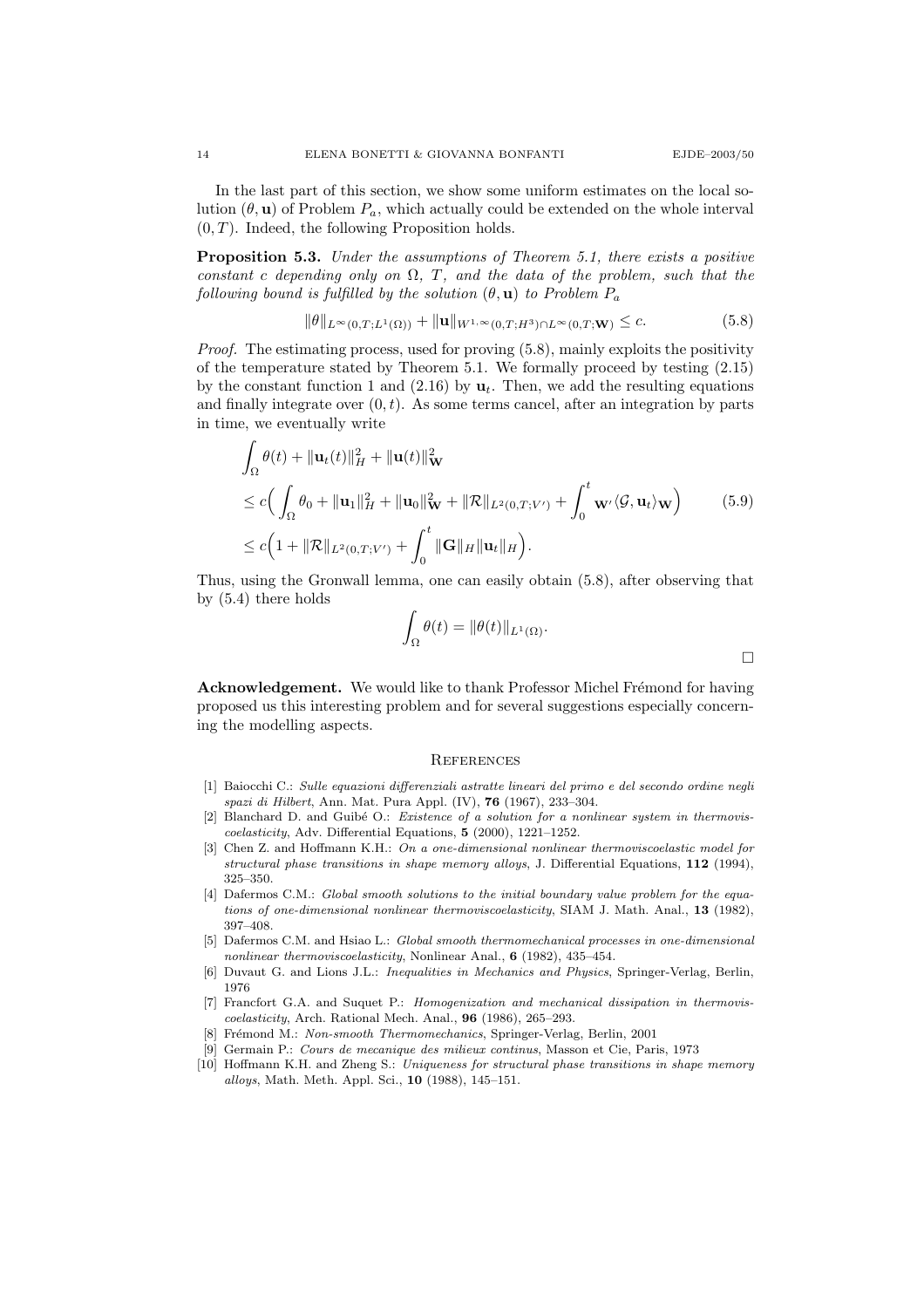In the last part of this section, we show some uniform estimates on the local solution  $(\theta, \mathbf{u})$  of Problem  $P_a$ , which actually could be extended on the whole interval  $(0, T)$ . Indeed, the following Proposition holds.

**Proposition 5.3.** Under the assumptions of Theorem 5.1, there exists a positive constant c depending only on  $\Omega$ , T, and the data of the problem, such that the following bound is fulfilled by the solution  $(\theta, \mathbf{u})$  to Problem  $P_a$ 

$$
\|\theta\|_{L^{\infty}(0,T;L^{1}(\Omega))} + \|\mathbf{u}\|_{W^{1,\infty}(0,T;H^{3}) \cap L^{\infty}(0,T;W)} \leq c.
$$
\n(5.8)

Proof. The estimating process, used for proving  $(5.8)$ , mainly exploits the positivity of the temperature stated by Theorem 5.1. We formally proceed by testing (2.15) by the constant function 1 and (2.16) by  $\mathbf{u}_t$ . Then, we add the resulting equations and finally integrate over  $(0, t)$ . As some terms cancel, after an integration by parts in time, we eventually write

$$
\int_{\Omega} \theta(t) + \|\mathbf{u}_{t}(t)\|_{H}^{2} + \|\mathbf{u}(t)\|_{\mathbf{W}}^{2}
$$
\n
$$
\leq c \Big( \int_{\Omega} \theta_{0} + \|\mathbf{u}_{1}\|_{H}^{2} + \|\mathbf{u}_{0}\|_{\mathbf{W}}^{2} + \|\mathcal{R}\|_{L^{2}(0,T;V')} + \int_{0}^{t} \mathbf{w} \cdot \langle \mathcal{G}, \mathbf{u}_{t} \rangle_{\mathbf{W}} \Big) \qquad (5.9)
$$
\n
$$
\leq c \Big( 1 + \|\mathcal{R}\|_{L^{2}(0,T;V')} + \int_{0}^{t} \|\mathbf{G}\|_{H} \|\mathbf{u}_{t}\|_{H} \Big).
$$

Thus, using the Gronwall lemma, one can easily obtain (5.8), after observing that by (5.4) there holds

$$
\int_{\Omega} \theta(t) = \|\theta(t)\|_{L^1(\Omega)}.
$$

Acknowledgement. We would like to thank Professor Michel Frémond for having proposed us this interesting problem and for several suggestions especially concerning the modelling aspects.

#### **REFERENCES**

- [1] Baiocchi C.: Sulle equazioni differenziali astratte lineari del primo e del secondo ordine negli spazi di Hilbert, Ann. Mat. Pura Appl. (IV), 76 (1967), 233–304.
- [2] Blanchard D. and Guibé O.: Existence of a solution for a nonlinear system in thermoviscoelasticity, Adv. Differential Equations, 5 (2000), 1221–1252.
- [3] Chen Z. and Hoffmann K.H.: On a one-dimensional nonlinear thermoviscoelastic model for structural phase transitions in shape memory alloys, J. Differential Equations, 112 (1994), 325–350.
- [4] Dafermos C.M.: Global smooth solutions to the initial boundary value problem for the equations of one-dimensional nonlinear thermoviscoelasticity, SIAM J. Math. Anal., 13 (1982), 397–408.
- [5] Dafermos C.M. and Hsiao L.: Global smooth thermomechanical processes in one-dimensional nonlinear thermoviscoelasticity, Nonlinear Anal., 6 (1982), 435–454.
- [6] Duvaut G. and Lions J.L.: Inequalities in Mechanics and Physics, Springer-Verlag, Berlin, 1976
- [7] Francfort G.A. and Suquet P.: Homogenization and mechanical dissipation in thermoviscoelasticity, Arch. Rational Mech. Anal., 96 (1986), 265–293.
- [8] Frémond M.: Non-smooth Thermomechanics, Springer-Verlag, Berlin, 2001
- [9] Germain P.: Cours de mecanique des milieux continus, Masson et Cie, Paris, 1973
- [10] Hoffmann K.H. and Zheng S.: Uniqueness for structural phase transitions in shape memory alloys, Math. Meth. Appl. Sci., 10 (1988), 145–151.